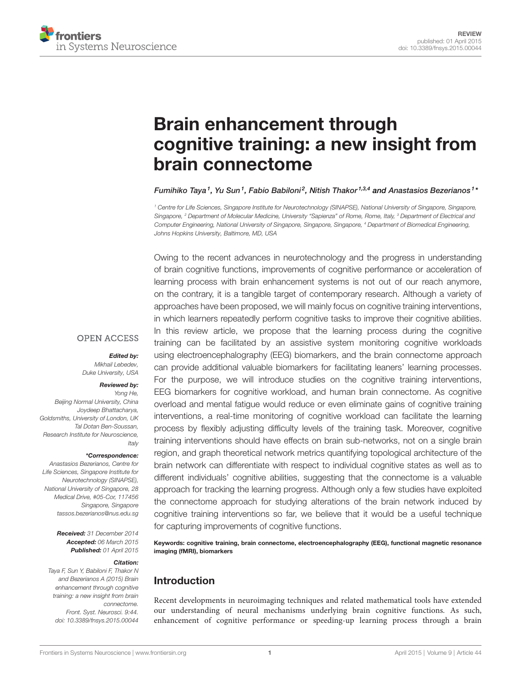

# [Brain enhancement through](http://www.frontiersin.org/Journal/10.3389/fnsys.2015.00044/abstract) [cognitive training: a new insight from](http://www.frontiersin.org/Journal/10.3389/fnsys.2015.00044/abstract) [brain connectome](http://www.frontiersin.org/Journal/10.3389/fnsys.2015.00044/abstract)

[Fumihiko Taya](http://community.frontiersin.org/people/u/201871)<sup>1</sup>, [Yu Sun](http://community.frontiersin.org/people/u/89201)<sup>1</sup>, [Fabio Babiloni](http://community.frontiersin.org/people/u/2666)<sup>2</sup>, [Nitish Thakor](http://community.frontiersin.org/people/u/1342)<sup>1,3,4</sup> and [Anastasios Bezerianos](http://community.frontiersin.org/people/u/138754)<sup>1</sup>\*

<sup>1</sup> Centre for Life Sciences, Singapore Institute for Neurotechnology (SINAPSE), National University of Singapore, Singapore, Singapore, <sup>2</sup> Department of Molecular Medicine, University "Sapienza" of Rome, Rome, Italy, <sup>3</sup> Department of Electrical and Computer Engineering, National University of Singapore, Singapore, Singapore, <sup>4</sup> Department of Biomedical Engineering, Johns Hopkins University, Baltimore, MD, USA

Owing to the recent advances in neurotechnology and the progress in understanding of brain cognitive functions, improvements of cognitive performance or acceleration of learning process with brain enhancement systems is not out of our reach anymore, on the contrary, it is a tangible target of contemporary research. Although a variety of approaches have been proposed, we will mainly focus on cognitive training interventions, in which learners repeatedly perform cognitive tasks to improve their cognitive abilities. In this review article, we propose that the learning process during the cognitive training can be facilitated by an assistive system monitoring cognitive workloads using electroencephalography (EEG) biomarkers, and the brain connectome approach can provide additional valuable biomarkers for facilitating leaners' learning processes. For the purpose, we will introduce studies on the cognitive training interventions, EEG biomarkers for cognitive workload, and human brain connectome. As cognitive overload and mental fatigue would reduce or even eliminate gains of cognitive training interventions, a real-time monitoring of cognitive workload can facilitate the learning process by flexibly adjusting difficulty levels of the training task. Moreover, cognitive training interventions should have effects on brain sub-networks, not on a single brain region, and graph theoretical network metrics quantifying topological architecture of the brain network can differentiate with respect to individual cognitive states as well as to different individuals' cognitive abilities, suggesting that the connectome is a valuable approach for tracking the learning progress. Although only a few studies have exploited the connectome approach for studying alterations of the brain network induced by cognitive training interventions so far, we believe that it would be a useful technique for capturing improvements of cognitive functions.

Keywords: cognitive training, brain connectome, electroencephalography (EEG), functional magnetic resonance imaging (fMRI), biomarkers

# Introduction

Recent developments in neuroimaging techniques and related mathematical tools have extended our understanding of neural mechanisms underlying brain cognitive functions. As such, enhancement of cognitive performance or speeding-up learning process through a brain

# **OPEN ACCESS**

Edited by:

Mikhail Lebedev, Duke University, USA

#### Reviewed by:

Yong He, Beijing Normal University, China Joydeep Bhattacharya, Goldsmiths, University of London, UK Tal Dotan Ben-Soussan, Research Institute for Neuroscience, Italy

#### \*Correspondence:

Anastasios Bezerianos, Centre for Life Sciences, Singapore Institute for Neurotechnology (SINAPSE), National University of Singapore, 28 Medical Drive, #05-Cor, 117456 Singapore, Singapore [tassos.bezerianos@nus.edu.sg](mailto:tassos.bezerianos@nus.edu.sg)

> Received: 31 December 2014 Accepted: 06 March 2015 Published: 01 April 2015

#### Citation:

Taya F, Sun Y, Babiloni F, Thakor N and Bezerianos A (2015) Brain enhancement through cognitive training: a new insight from brain connectome. Front. Syst. Neurosci. 9:44. [doi: 10.3389/fnsys.2015.00044](http://dx.doi.org/10.3389/fnsys.2015.00044)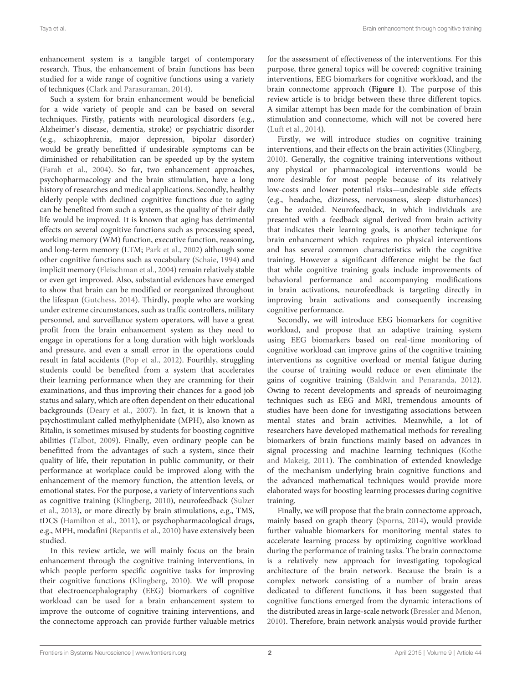enhancement system is a tangible target of contemporary research. Thus, the enhancement of brain functions has been studied for a wide range of cognitive functions using a variety of techniques [\(Clark and Parasuraman,](#page-15-0) [2014\)](#page-15-0).

Such a system for brain enhancement would be beneficial for a wide variety of people and can be based on several techniques. Firstly, patients with neurological disorders (e.g., Alzheimer's disease, dementia, stroke) or psychiatric disorder (e.g., schizophrenia, major depression, bipolar disorder) would be greatly benefitted if undesirable symptoms can be diminished or rehabilitation can be speeded up by the system [\(Farah et al.,](#page-15-1) [2004\)](#page-15-1). So far, two enhancement approaches, psychopharmacology and the brain stimulation, have a long history of researches and medical applications. Secondly, healthy elderly people with declined cognitive functions due to aging can be benefited from such a system, as the quality of their daily life would be improved. It is known that aging has detrimental effects on several cognitive functions such as processing speed, working memory (WM) function, executive function, reasoning, and long-term memory (LTM; [Park et al.,](#page-17-0) [2002\)](#page-17-0) although some other cognitive functions such as vocabulary [\(Schaie,](#page-17-1) [1994\)](#page-17-1) and implicit memory [\(Fleischman et al.,](#page-15-2) [2004\)](#page-15-2) remain relatively stable or even get improved. Also, substantial evidences have emerged to show that brain can be modified or reorganized throughout the lifespan [\(Gutchess,](#page-16-0) [2014\)](#page-16-0). Thirdly, people who are working under extreme circumstances, such as traffic controllers, military personnel, and surveillance system operators, will have a great profit from the brain enhancement system as they need to engage in operations for a long duration with high workloads and pressure, and even a small error in the operations could result in fatal accidents [\(Pop et al.,](#page-17-2) [2012\)](#page-17-2). Fourthly, struggling students could be benefited from a system that accelerates their learning performance when they are cramming for their examinations, and thus improving their chances for a good job status and salary, which are often dependent on their educational backgrounds [\(Deary et al.,](#page-15-3) [2007\)](#page-15-3). In fact, it is known that a psychostimulant called methylphenidate (MPH), also known as Ritalin, is sometimes misused by students for boosting cognitive abilities [\(Talbot,](#page-18-0) [2009\)](#page-18-0). Finally, even ordinary people can be benefitted from the advantages of such a system, since their quality of life, their reputation in public community, or their performance at workplace could be improved along with the enhancement of the memory function, the attention levels, or emotional states. For the purpose, a variety of interventions such as cognitive training [\(Klingberg,](#page-16-1) [2010\)](#page-16-1), neurofeedback [\(Sulzer](#page-18-1) [et al.,](#page-18-1) [2013\)](#page-18-1), or more directly by brain stimulations, e.g., TMS, tDCS [\(Hamilton et al.,](#page-16-2) [2011\)](#page-16-2), or psychopharmacological drugs, e.g., MPH, modafini [\(Repantis et al.,](#page-17-3) [2010\)](#page-17-3) have extensively been studied.

In this review article, we will mainly focus on the brain enhancement through the cognitive training interventions, in which people perform specific cognitive tasks for improving their cognitive functions [\(Klingberg,](#page-16-1) [2010\)](#page-16-1). We will propose that electroencephalography (EEG) biomarkers of cognitive workload can be used for a brain enhancement system to improve the outcome of cognitive training interventions, and the connectome approach can provide further valuable metrics for the assessment of effectiveness of the interventions. For this purpose, three general topics will be covered: cognitive training interventions, EEG biomarkers for cognitive workload, and the brain connectome approach (**[Figure 1](#page-2-0)**). The purpose of this review article is to bridge between these three different topics. A similar attempt has been made for the combination of brain stimulation and connectome, which will not be covered here [\(Luft et al.,](#page-16-3) [2014\)](#page-16-3).

Firstly, we will introduce studies on cognitive training interventions, and their effects on the brain activities [\(Klingberg,](#page-16-1) [2010\)](#page-16-1). Generally, the cognitive training interventions without any physical or pharmacological interventions would be more desirable for most people because of its relatively low-costs and lower potential risks—undesirable side effects (e.g., headache, dizziness, nervousness, sleep disturbances) can be avoided. Neurofeedback, in which individuals are presented with a feedback signal derived from brain activity that indicates their learning goals, is another technique for brain enhancement which requires no physical interventions and has several common characteristics with the cognitive training. However a significant difference might be the fact that while cognitive training goals include improvements of behavioral performance and accompanying modifications in brain activations, neurofeedback is targeting directly in improving brain activations and consequently increasing cognitive performance.

Secondly, we will introduce EEG biomarkers for cognitive workload, and propose that an adaptive training system using EEG biomarkers based on real-time monitoring of cognitive workload can improve gains of the cognitive training interventions as cognitive overload or mental fatigue during the course of training would reduce or even eliminate the gains of cognitive training [\(Baldwin and Penaranda,](#page-14-0) [2012\)](#page-14-0). Owing to recent developments and spreads of neuroimaging techniques such as EEG and MRI, tremendous amounts of studies have been done for investigating associations between mental states and brain activities. Meanwhile, a lot of researchers have developed mathematical methods for revealing biomarkers of brain functions mainly based on advances in signal processing and machine learning techniques [\(Kothe](#page-16-4) [and Makeig,](#page-16-4) [2011\)](#page-16-4). The combination of extended knowledge of the mechanism underlying brain cognitive functions and the advanced mathematical techniques would provide more elaborated ways for boosting learning processes during cognitive training.

Finally, we will propose that the brain connectome approach, mainly based on graph theory [\(Sporns,](#page-17-4) [2014\)](#page-17-4), would provide further valuable biomarkers for monitoring mental states to accelerate learning process by optimizing cognitive workload during the performance of training tasks. The brain connectome is a relatively new approach for investigating topological architecture of the brain network. Because the brain is a complex network consisting of a number of brain areas dedicated to different functions, it has been suggested that cognitive functions emerged from the dynamic interactions of the distributed areas in large-scale network [\(Bressler and Menon,](#page-15-4) [2010\)](#page-15-4). Therefore, brain network analysis would provide further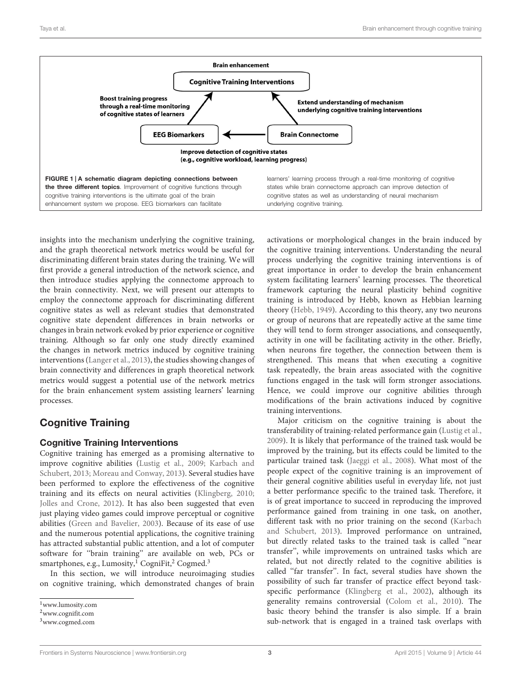

<span id="page-2-0"></span>insights into the mechanism underlying the cognitive training, and the graph theoretical network metrics would be useful for discriminating different brain states during the training. We will first provide a general introduction of the network science, and then introduce studies applying the connectome approach to the brain connectivity. Next, we will present our attempts to employ the connectome approach for discriminating different cognitive states as well as relevant studies that demonstrated cognitive state dependent differences in brain networks or changes in brain network evoked by prior experience or cognitive training. Although so far only one study directly examined the changes in network metrics induced by cognitive training interventions [\(Langer et al.,](#page-16-5) [2013\)](#page-16-5), the studies showing changes of brain connectivity and differences in graph theoretical network metrics would suggest a potential use of the network metrics for the brain enhancement system assisting learners' learning processes.

# Cognitive Training

## Cognitive Training Interventions

Cognitive training has emerged as a promising alternative to improve cognitive abilities [\(Lustig et al.,](#page-17-5) [2009;](#page-17-5) [Karbach and](#page-16-6) [Schubert,](#page-16-6) [2013;](#page-16-6) [Moreau and Conway,](#page-17-6) [2013\)](#page-17-6). Several studies have been performed to explore the effectiveness of the cognitive training and its effects on neural activities [\(Klingberg,](#page-16-1) [2010;](#page-16-1) [Jolles and Crone,](#page-16-7) [2012\)](#page-16-7). It has also been suggested that even just playing video games could improve perceptual or cognitive abilities [\(Green and Bavelier,](#page-16-8) [2003\)](#page-16-8). Because of its ease of use and the numerous potential applications, the cognitive training has attracted substantial public attention, and a lot of computer software for ''brain training'' are available on web, PCs or smartphones, e.g., Lumosity, $^{1}$  $^{1}$  $^{1}$  CogniFit,<sup>[2](#page-2-2)</sup> Cogmed.<sup>[3](#page-2-3)</sup>

In this section, we will introduce neuroimaging studies on cognitive training, which demonstrated changes of brain activations or morphological changes in the brain induced by the cognitive training interventions. Understanding the neural process underlying the cognitive training interventions is of great importance in order to develop the brain enhancement system facilitating learners' learning processes. The theoretical framework capturing the neural plasticity behind cognitive training is introduced by Hebb, known as Hebbian learning theory [\(Hebb,](#page-16-9) [1949\)](#page-16-9). According to this theory, any two neurons or group of neurons that are repeatedly active at the same time they will tend to form stronger associations, and consequently, activity in one will be facilitating activity in the other. Briefly, when neurons fire together, the connection between them is strengthened. This means that when executing a cognitive task repeatedly, the brain areas associated with the cognitive functions engaged in the task will form stronger associations. Hence, we could improve our cognitive abilities through modifications of the brain activations induced by cognitive training interventions.

Major criticism on the cognitive training is about the transferability of training-related performance gain [\(Lustig et al.,](#page-17-5) [2009\)](#page-17-5). It is likely that performance of the trained task would be improved by the training, but its effects could be limited to the particular trained task [\(Jaeggi et al.,](#page-16-10) [2008\)](#page-16-10). What most of the people expect of the cognitive training is an improvement of their general cognitive abilities useful in everyday life, not just a better performance specific to the trained task. Therefore, it is of great importance to succeed in reproducing the improved performance gained from training in one task, on another, different task with no prior training on the second [\(Karbach](#page-16-6) [and Schubert,](#page-16-6) [2013\)](#page-16-6). Improved performance on untrained, but directly related tasks to the trained task is called ''near transfer'', while improvements on untrained tasks which are related, but not directly related to the cognitive abilities is called ''far transfer''. In fact, several studies have shown the possibility of such far transfer of practice effect beyond taskspecific performance [\(Klingberg et al.,](#page-16-11) [2002\)](#page-16-11), although its generality remains controversial [\(Colom et al.,](#page-15-5) [2010\)](#page-15-5). The basic theory behind the transfer is also simple. If a brain sub-network that is engaged in a trained task overlaps with

<span id="page-2-1"></span><sup>1</sup>[www.lumosity.com](http://www.lumosity.com)

<span id="page-2-2"></span><sup>2</sup>[www.cognifit.com](http://www.cognifit.com)

<span id="page-2-3"></span><sup>3</sup>[www.cogmed.com](http://www.cogmed.com)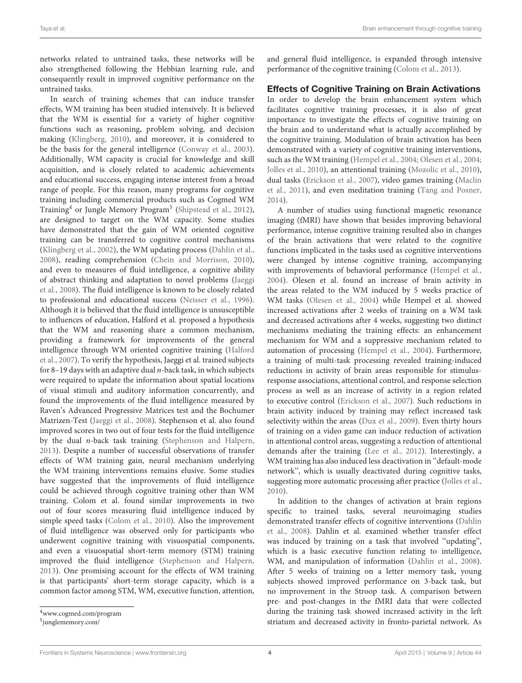networks related to untrained tasks, these networks will be also strengthened following the Hebbian learning rule, and consequently result in improved cognitive performance on the untrained tasks.

In search of training schemes that can induce transfer effects, WM training has been studied intensively. It is believed that the WM is essential for a variety of higher cognitive functions such as reasoning, problem solving, and decision making [\(Klingberg,](#page-16-1) [2010\)](#page-16-1), and moreover, it is considered to be the basis for the general intelligence [\(Conway et al.,](#page-15-6) [2003\)](#page-15-6). Additionally, WM capacity is crucial for knowledge and skill acquisition, and is closely related to academic achievements and educational success, engaging intense interest from a broad range of people. For this reason, many programs for cognitive training including commercial products such as Cogmed WM Training<sup>[4](#page-3-0)</sup> or Jungle Memory Program<sup>[5](#page-3-1)</sup> [\(Shipstead et al.,](#page-17-7) [2012\)](#page-17-7), are designed to target on the WM capacity. Some studies have demonstrated that the gain of WM oriented cognitive training can be transferred to cognitive control mechanisms [\(Klingberg et al.,](#page-16-11) [2002\)](#page-16-11), the WM updating process [\(Dahlin et al.,](#page-15-7) [2008\)](#page-15-7), reading comprehension [\(Chein and Morrison,](#page-15-8) [2010\)](#page-15-8), and even to measures of fluid intelligence, a cognitive ability of abstract thinking and adaptation to novel problems [\(Jaeggi](#page-16-10) [et al.,](#page-16-10) [2008\)](#page-16-10). The fluid intelligence is known to be closely related to professional and educational success [\(Neisser et al.,](#page-17-8) [1996\)](#page-17-8). Although it is believed that the fluid intelligence is unsusceptible to influences of education, Halford et al. proposed a hypothesis that the WM and reasoning share a common mechanism, providing a framework for improvements of the general intelligence through WM oriented cognitive training [\(Halford](#page-16-12) [et al.,](#page-16-12) [2007\)](#page-16-12). To verify the hypothesis, Jaeggi et al. trained subjects for 8–19 days with an adaptive dual  $n$ -back task, in which subjects were required to update the information about spatial locations of visual stimuli and auditory information concurrently, and found the improvements of the fluid intelligence measured by Raven's Advanced Progressive Matrices test and the Bochumer Matrizen-Test [\(Jaeggi et al.,](#page-16-10) [2008\)](#page-16-10). Stephenson et al. also found improved scores in two out of four tests for the fluid intelligence by the dual n-back task training [\(Stephenson and Halpern,](#page-17-9) [2013\)](#page-17-9). Despite a number of successful observations of transfer effects of WM training gain, neural mechanism underlying the WM training interventions remains elusive. Some studies have suggested that the improvements of fluid intelligence could be achieved through cognitive training other than WM training. Colom et al. found similar improvements in two out of four scores measuring fluid intelligence induced by simple speed tasks [\(Colom et al.,](#page-15-5) [2010\)](#page-15-5). Also the improvement of fluid intelligence was observed only for participants who underwent cognitive training with visuospatial components, and even a visuospatial short-term memory (STM) training improved the fluid intelligence [\(Stephenson and Halpern,](#page-17-9) [2013\)](#page-17-9). One promising account for the effects of WM training is that participants' short-term storage capacity, which is a common factor among STM, WM, executive function, attention, and general fluid intelligence, is expanded through intensive performance of the cognitive training [\(Colom et al.,](#page-15-9) [2013\)](#page-15-9).

#### Effects of Cognitive Training on Brain Activations

In order to develop the brain enhancement system which facilitates cognitive training processes, it is also of great importance to investigate the effects of cognitive training on the brain and to understand what is actually accomplished by the cognitive training. Modulation of brain activation has been demonstrated with a variety of cognitive training interventions, such as the WM training [\(Hempel et al.,](#page-16-13) [2004;](#page-16-13) [Olesen et al.,](#page-17-10) [2004;](#page-17-10) [Jolles et al.,](#page-16-14) [2010\)](#page-16-14), an attentional training [\(Mozolic et al.,](#page-17-11) [2010\)](#page-17-11), dual tasks [\(Erickson et al.,](#page-15-10) [2007\)](#page-15-10), video games training [\(Maclin](#page-17-12) [et al.,](#page-17-12) [2011\)](#page-17-12), and even meditation training [\(Tang and Posner,](#page-18-2) [2014\)](#page-18-2).

A number of studies using functional magnetic resonance imaging (fMRI) have shown that besides improving behavioral performance, intense cognitive training resulted also in changes of the brain activations that were related to the cognitive functions implicated in the tasks used as cognitive interventions were changed by intense cognitive training, accompanying with improvements of behavioral performance [\(Hempel et al.,](#page-16-13) [2004\)](#page-16-13). Olesen et al. found an increase of brain activity in the areas related to the WM induced by 5 weeks practice of WM tasks [\(Olesen et al.,](#page-17-10) [2004\)](#page-17-10) while Hempel et al. showed increased activations after 2 weeks of training on a WM task and decreased activations after 4 weeks, suggesting two distinct mechanisms mediating the training effects: an enhancement mechanism for WM and a suppressive mechanism related to automation of processing [\(Hempel et al.,](#page-16-13) [2004\)](#page-16-13). Furthermore, a training of multi-task processing revealed training-induced reductions in activity of brain areas responsible for stimulusresponse associations, attentional control, and response selection process as well as an increase of activity in a region related to executive control [\(Erickson et al.,](#page-15-10) [2007\)](#page-15-10). Such reductions in brain activity induced by training may reflect increased task selectivity within the areas [\(Dux et al.,](#page-15-11) [2009\)](#page-15-11). Even thirty hours of training on a video game can induce reduction of activation in attentional control areas, suggesting a reduction of attentional demands after the training [\(Lee et al.,](#page-16-15) [2012\)](#page-16-15). Interestingly, a WM training has also induced less deactivation in ''default-mode network'', which is usually deactivated during cognitive tasks, suggesting more automatic processing after practice [\(Jolles et al.,](#page-16-14) [2010\)](#page-16-14).

In addition to the changes of activation at brain regions specific to trained tasks, several neuroimaging studies demonstrated transfer effects of cognitive interventions [\(Dahlin](#page-15-7) [et al.,](#page-15-7) [2008\)](#page-15-7). Dahlin et al. examined whether transfer effect was induced by training on a task that involved ''updating'', which is a basic executive function relating to intelligence, WM, and manipulation of information [\(Dahlin et al.,](#page-15-7) [2008\)](#page-15-7). After 5 weeks of training on a letter memory task, young subjects showed improved performance on 3-back task, but no improvement in the Stroop task. A comparison between pre- and post-changes in the fMRI data that were collected during the training task showed increased activity in the left striatum and decreased activity in fronto-parietal network. As

<span id="page-3-0"></span><sup>4</sup>[www.cogmed.com/program](http://www.cogmed.com/program)

<span id="page-3-1"></span><sup>5</sup> [junglememory.com/](http://junglememory.com/)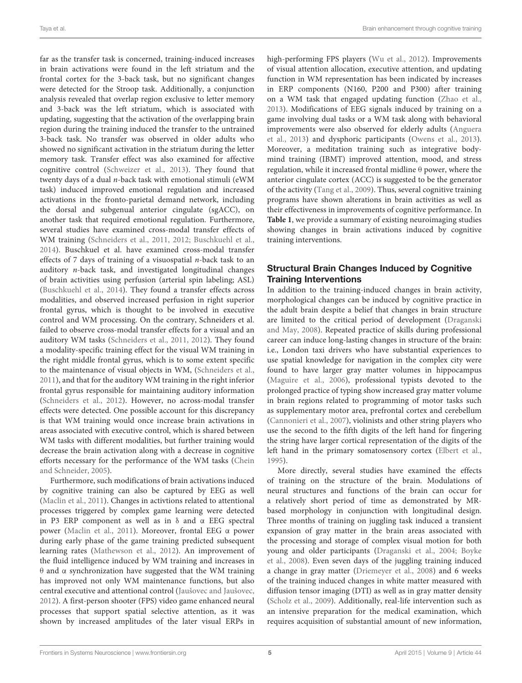far as the transfer task is concerned, training-induced increases in brain activations were found in the left striatum and the frontal cortex for the 3-back task, but no significant changes were detected for the Stroop task. Additionally, a conjunction analysis revealed that overlap region exclusive to letter memory and 3-back was the left striatum, which is associated with updating, suggesting that the activation of the overlapping brain region during the training induced the transfer to the untrained 3-back task. No transfer was observed in older adults who showed no significant activation in the striatum during the letter memory task. Transfer effect was also examined for affective cognitive control [\(Schweizer et al.,](#page-17-13) [2013\)](#page-17-13). They found that twenty days of a dual n-back task with emotional stimuli (eWM task) induced improved emotional regulation and increased activations in the fronto-parietal demand network, including the dorsal and subgenual anterior cingulate (sgACC), on another task that required emotional regulation. Furthermore, several studies have examined cross-modal transfer effects of WM training [\(Schneiders et al.,](#page-17-14) [2011,](#page-17-14) [2012;](#page-17-15) [Buschkuehl et al.,](#page-15-12) [2014\)](#page-15-12). Buschkuel et al. have examined cross-modal transfer effects of 7 days of training of a visuospatial  $n$ -back task to an auditory n-back task, and investigated longitudinal changes of brain activities using perfusion (arterial spin labeling; ASL) [\(Buschkuehl et al.,](#page-15-12) [2014\)](#page-15-12). They found a transfer effects across modalities, and observed increased perfusion in right superior frontal gyrus, which is thought to be involved in executive control and WM processing. On the contrary, Schneiders et al. failed to observe cross-modal transfer effects for a visual and an auditory WM tasks [\(Schneiders et al.,](#page-17-14) [2011,](#page-17-14) [2012\)](#page-17-15). They found a modality-specific training effect for the visual WM training in the right middle frontal gyrus, which is to some extent specific to the maintenance of visual objects in WM, [\(Schneiders et al.,](#page-17-14) [2011\)](#page-17-14), and that for the auditory WM training in the right inferior frontal gyrus responsible for maintaining auditory information [\(Schneiders et al.,](#page-17-15) [2012\)](#page-17-15). However, no across-modal transfer effects were detected. One possible account for this discrepancy is that WM training would once increase brain activations in areas associated with executive control, which is shared between WM tasks with different modalities, but further training would decrease the brain activation along with a decrease in cognitive efforts necessary for the performance of the WM tasks [\(Chein](#page-15-13) [and Schneider,](#page-15-13) [2005\)](#page-15-13).

Furthermore, such modifications of brain activations induced by cognitive training can also be captured by EEG as well [\(Maclin et al.,](#page-17-12) [2011\)](#page-17-12). Changes in activtions related to attentional processes triggered by complex game learning were detected in P3 ERP component as well as in δ and α EEG spectral power [\(Maclin et al.,](#page-17-12) [2011\)](#page-17-12). Moreover, frontal EEG α power during early phase of the game training predicted subsequent learning rates [\(Mathewson et al.,](#page-17-16) [2012\)](#page-17-16). An improvement of the fluid intelligence induced by WM training and increases in θ and α synchronization have suggested that the WM training has improved not only WM maintenance functions, but also central executive and attentional control [\(Jaušovec and Jaušovec,](#page-16-16) [2012\)](#page-16-16). A first-person shooter (FPS) video game enhanced neural processes that support spatial selective attention, as it was shown by increased amplitudes of the later visual ERPs in high-performing FPS players [\(Wu et al.,](#page-18-3) [2012\)](#page-18-3). Improvements of visual attention allocation, executive attention, and updating function in WM representation has been indicated by increases in ERP components (N160, P200 and P300) after training on a WM task that engaged updating function [\(Zhao et al.,](#page-18-4) [2013\)](#page-18-4). Modifications of EEG signals induced by training on a game involving dual tasks or a WM task along with behavioral improvements were also observed for elderly adults [\(Anguera](#page-14-1) [et al.,](#page-14-1) [2013\)](#page-14-1) and dysphoric participants [\(Owens et al.,](#page-17-17) [2013\)](#page-17-17). Moreover, a meditation training such as integrative bodymind training (IBMT) improved attention, mood, and stress regulation, while it increased frontal midline  $\theta$  power, where the anterior cingulate cortex (ACC) is suggested to be the generator of the activity [\(Tang et al.,](#page-18-5) [2009\)](#page-18-5). Thus, several cognitive training programs have shown alterations in brain activities as well as their effectiveness in improvements of cognitive performance. In **[Table 1](#page-5-0)**, we provide a summary of existing neuroimaging studies showing changes in brain activations induced by cognitive training interventions.

## Structural Brain Changes Induced by Cognitive Training Interventions

In addition to the training-induced changes in brain activity, morphological changes can be induced by cognitive practice in the adult brain despite a belief that changes in brain structure are limited to the critical period of development [\(Draganski](#page-15-14) [and May,](#page-15-14) [2008\)](#page-15-14). Repeated practice of skills during professional career can induce long-lasting changes in structure of the brain: i.e., London taxi drivers who have substantial experiences to use spatial knowledge for navigation in the complex city were found to have larger gray matter volumes in hippocampus [\(Maguire et al.,](#page-17-18) [2006\)](#page-17-18), professional typists devoted to the prolonged practice of typing show increased gray matter volume in brain regions related to programming of motor tasks such as supplementary motor area, prefrontal cortex and cerebellum [\(Cannonieri et al.,](#page-15-15) [2007\)](#page-15-15), violinists and other string players who use the second to the fifth digits of the left hand for fingering the string have larger cortical representation of the digits of the left hand in the primary somatosensory cortex [\(Elbert et al.,](#page-15-16) [1995\)](#page-15-16).

More directly, several studies have examined the effects of training on the structure of the brain. Modulations of neural structures and functions of the brain can occur for a relatively short period of time as demonstrated by MRbased morphology in conjunction with longitudinal design. Three months of training on juggling task induced a transient expansion of gray matter in the brain areas associated with the processing and storage of complex visual motion for both young and older participants [\(Draganski et al.,](#page-15-17) [2004;](#page-15-17) [Boyke](#page-15-18) [et al.,](#page-15-18) [2008\)](#page-15-18). Even seven days of the juggling training induced a change in gray matter [\(Driemeyer et al.,](#page-15-19) [2008\)](#page-15-19) and 6 weeks of the training induced changes in white matter measured with diffusion tensor imaging (DTI) as well as in gray matter density [\(Scholz et al.,](#page-17-19) [2009\)](#page-17-19). Additionally, real-life intervention such as an intensive preparation for the medical examination, which requires acquisition of substantial amount of new information,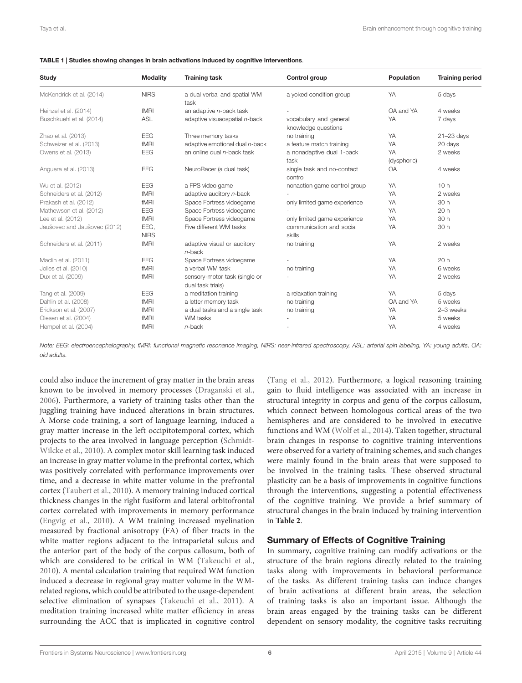<span id="page-5-0"></span>

| Study                        | <b>Modality</b>     | <b>Training task</b>                               | Control group                                 | Population        | <b>Training period</b> |
|------------------------------|---------------------|----------------------------------------------------|-----------------------------------------------|-------------------|------------------------|
| McKendrick et al. (2014)     | <b>NIRS</b>         | a dual verbal and spatial WM<br>task               | a yoked condition group                       | YA                | 5 days                 |
| Heinzel et al. (2014)        | fMRI                | an adaptive $n$ -back task                         |                                               | OA and YA         | 4 weeks                |
| Buschkuehl et al. (2014)     | <b>ASL</b>          | adaptive visuaospatial n-back                      | vocabulary and general<br>knowledge questions | YA                | 7 days                 |
| Zhao et al. (2013)           | <b>EEG</b>          | Three memory tasks                                 | no training                                   | YA                | $21 - 23$ days         |
| Schweizer et al. (2013)      | fMRI                | adaptive emotional dual n-back                     | a feature match training                      | YA                | 20 days                |
| Owens et al. (2013)          | <b>EEG</b>          | an online dual n-back task                         | a nonadaptive dual 1-back<br>task             | YA<br>(dysphoric) | 2 weeks                |
| Anguera et al. (2013)        | EEG                 | NeuroRacer (a dual task)                           | single task and no-contact<br>control         | <b>OA</b>         | 4 weeks                |
| Wu et al. (2012)             | <b>EEG</b>          | a FPS video game                                   | nonaction game control group                  | YA                | 10h                    |
| Schneiders et al. (2012)     | fMRI                | adaptive auditory n-back                           |                                               | YA                | 2 weeks                |
| Prakash et al. (2012)        | fMRI                | Space Fortress vidoegame                           | only limited game experience                  | YA                | 30 h                   |
| Mathewson et al. (2012)      | <b>EEG</b>          | Space Fortress vidoegame                           |                                               | YA                | 20h                    |
| Lee et al. (2012)            | fMRI                | Space Fortress videogame                           | only limited game experience                  | YA                | 30 h                   |
| Jaušovec and Jaušovec (2012) | EEG,<br><b>NIRS</b> | Five different WM tasks                            | communication and social<br>skills            | YA                | 30 h                   |
| Schneiders et al. (2011)     | fMRI                | adaptive visual or auditory<br>$n$ -back           | no training                                   | YA                | 2 weeks                |
| Maclin et al. (2011)         | <b>EEG</b>          | Space Fortress vidoegame                           |                                               | YA                | 20h                    |
| Jolles et al. (2010)         | fMRI                | a verbal WM task                                   | no training                                   | YA                | 6 weeks                |
| Dux et al. (2009)            | fMRI                | sensory-motor task (single or<br>dual task trials) |                                               | YA                | 2 weeks                |
| Tang et al. (2009)           | <b>EEG</b>          | a meditation training                              | a relaxation training                         | YA                | 5 days                 |
| Dahlin et al. (2008)         | fMRI                | a letter memory task                               | no training                                   | OA and YA         | 5 weeks                |
| Erickson et al. (2007)       | fMRI                | a dual tasks and a single task                     | no training                                   | YA                | 2-3 weeks              |
| Olesen et al. (2004)         | fMRI                | WM tasks                                           |                                               | YA                | 5 weeks                |
| Hempel et al. (2004)         | fMRI                | $n$ -back                                          |                                               | YA                | 4 weeks                |

Note: EEG: electroencephalography, fMRI: functional magnetic resonance imaging, NIRS: near-infrared spectroscopy, ASL: arterial spin labeling, YA: young adults, OA: old adults.

could also induce the increment of gray matter in the brain areas known to be involved in memory processes [\(Draganski et al.,](#page-15-20) [2006\)](#page-15-20). Furthermore, a variety of training tasks other than the juggling training have induced alterations in brain structures. A Morse code training, a sort of language learning, induced a gray matter increase in the left occipitotemporal cortex, which projects to the area involved in language perception [\(Schmidt-](#page-17-22)[Wilcke et al.,](#page-17-22) [2010\)](#page-17-22). A complex motor skill learning task induced an increase in gray matter volume in the prefrontal cortex, which was positively correlated with performance improvements over time, and a decrease in white matter volume in the prefrontal cortex [\(Taubert et al.,](#page-18-6) [2010\)](#page-18-6). A memory training induced cortical thickness changes in the right fusiform and lateral orbitofrontal cortex correlated with improvements in memory performance [\(Engvig et al.,](#page-15-21) [2010\)](#page-15-21). A WM training increased myelination measured by fractional anisotropy (FA) of fiber tracts in the white matter regions adjacent to the intraparietal sulcus and the anterior part of the body of the corpus callosum, both of which are considered to be critical in WM [\(Takeuchi et al.,](#page-18-7) [2010\)](#page-18-7). A mental calculation training that required WM function induced a decrease in regional gray matter volume in the WMrelated regions, which could be attributed to the usage-dependent selective elimination of synapses [\(Takeuchi et al.,](#page-18-8) [2011\)](#page-18-8). A meditation training increased white matter efficiency in areas surrounding the ACC that is implicated in cognitive control

[\(Tang et al.,](#page-18-9) [2012\)](#page-18-9). Furthermore, a logical reasoning training gain to fluid intelligence was associated with an increase in structural integrity in corpus and genu of the corpus callosum, which connect between homologous cortical areas of the two hemispheres and are considered to be involved in executive functions and WM [\(Wolf et al.,](#page-18-10) [2014\)](#page-18-10). Taken together, structural brain changes in response to cognitive training interventions were observed for a variety of training schemes, and such changes were mainly found in the brain areas that were supposed to be involved in the training tasks. These observed structural plasticity can be a basis of improvements in cognitive functions through the interventions, suggesting a potential effectiveness of the cognitive training. We provide a brief summary of structural changes in the brain induced by training intervention in **[Table 2](#page-6-0)**.

#### Summary of Effects of Cognitive Training

In summary, cognitive training can modify activations or the structure of the brain regions directly related to the training tasks along with improvements in behavioral performance of the tasks. As different training tasks can induce changes of brain activations at different brain areas, the selection of training tasks is also an important issue. Although the brain areas engaged by the training tasks can be different dependent on sensory modality, the cognitive tasks recruiting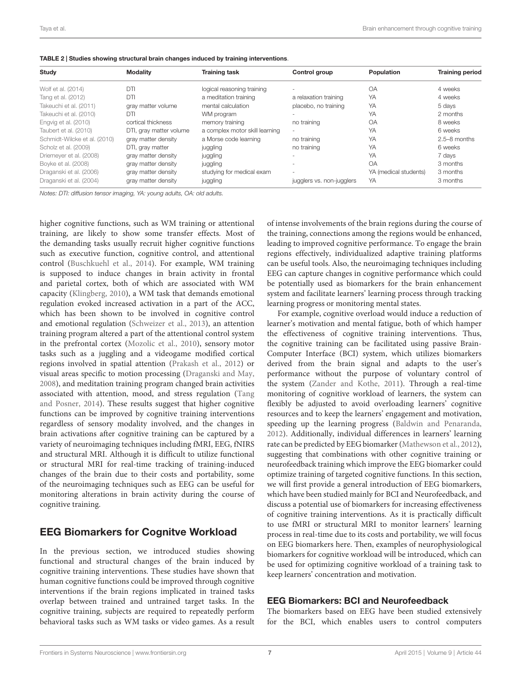<span id="page-6-0"></span>

| TABLE 2   Studies showing structural brain changes induced by training interventions. |  |
|---------------------------------------------------------------------------------------|--|
|---------------------------------------------------------------------------------------|--|

| Study                        | <b>Modality</b>         | <b>Training task</b>           | Control group             | Population            | <b>Training period</b> |
|------------------------------|-------------------------|--------------------------------|---------------------------|-----------------------|------------------------|
| Wolf et al. (2014)           | DTI                     | logical reasoning training     |                           | <b>OA</b>             | 4 weeks                |
| Tang et al. (2012)           | DTI                     | a meditation training          | a relaxation training     | YA                    | 4 weeks                |
| Takeuchi et al. (2011)       | gray matter volume      | mental calculation             | placebo, no training      | YA                    | 5 days                 |
| Takeuchi et al. (2010)       | DTI                     | WM program                     |                           | YA                    | 2 months               |
| Engvig et al. (2010)         | cortical thickness      | memory training                | no training               | OA                    | 8 weeks                |
| Taubert et al. (2010)        | DTI, gray matter volume | a complex motor skill learning |                           | YA                    | 6 weeks                |
| Schmidt-Wilcke et al. (2010) | gray matter density     | a Morse code learning          | no training               | YA                    | $2.5 - 8$ months       |
| Scholz et al. (2009)         | DTI, gray matter        | juggling                       | no training               | YA                    | 6 weeks                |
| Driemeyer et al. (2008)      | gray matter density     | juggling                       |                           | YA                    | 7 days                 |
| Boyke et al. (2008)          | gray matter density     | juggling                       |                           | <b>OA</b>             | 3 months               |
| Draganski et al. (2006)      | gray matter density     | studying for medical exam      |                           | YA (medical students) | 3 months               |
| Draganski et al. (2004)      | gray matter density     | juggling                       | jugglers vs. non-jugglers | YA                    | 3 months               |

Notes: DTI: diffusion tensor imaging, YA: young adults, OA: old adults.

higher cognitive functions, such as WM training or attentional training, are likely to show some transfer effects. Most of the demanding tasks usually recruit higher cognitive functions such as executive function, cognitive control, and attentional control [\(Buschkuehl et al.,](#page-15-12) [2014\)](#page-15-12). For example, WM training is supposed to induce changes in brain activity in frontal and parietal cortex, both of which are associated with WM capacity [\(Klingberg,](#page-16-1) [2010\)](#page-16-1), a WM task that demands emotional regulation evoked increased activation in a part of the ACC, which has been shown to be involved in cognitive control and emotional regulation [\(Schweizer et al.,](#page-17-13) [2013\)](#page-17-13), an attention training program altered a part of the attentional control system in the prefrontal cortex [\(Mozolic et al.,](#page-17-11) [2010\)](#page-17-11), sensory motor tasks such as a juggling and a videogame modified cortical regions involved in spatial attention [\(Prakash et al.,](#page-17-21) [2012\)](#page-17-21) or visual areas specific to motion processing [\(Draganski and May,](#page-15-14) [2008\)](#page-15-14), and meditation training program changed brain activities associated with attention, mood, and stress regulation [\(Tang](#page-18-2) [and Posner,](#page-18-2) [2014\)](#page-18-2). These results suggest that higher cognitive functions can be improved by cognitive training interventions regardless of sensory modality involved, and the changes in brain activations after cognitive training can be captured by a variety of neuroimaging techniques including fMRI, EEG, fNIRS and structural MRI. Although it is difficult to utilize functional or structural MRI for real-time tracking of training-induced changes of the brain due to their costs and portability, some of the neuroimaging techniques such as EEG can be useful for monitoring alterations in brain activity during the course of cognitive training.

# EEG Biomarkers for Cognitve Workload

In the previous section, we introduced studies showing functional and structural changes of the brain induced by cognitive training interventions. These studies have shown that human cognitive functions could be improved through cognitive interventions if the brain regions implicated in trained tasks overlap between trained and untrained target tasks. In the cognitive training, subjects are required to repeatedly perform behavioral tasks such as WM tasks or video games. As a result of intense involvements of the brain regions during the course of the training, connections among the regions would be enhanced, leading to improved cognitive performance. To engage the brain regions effectively, individualized adaptive training platforms can be useful tools. Also, the neuroimaging techniques including EEG can capture changes in cognitive performance which could be potentially used as biomarkers for the brain enhancement system and facilitate learners' learning process through tracking learning progress or monitoring mental states.

For example, cognitive overload would induce a reduction of learner's motivation and mental fatigue, both of which hamper the effectiveness of cognitive training interventions. Thus, the cognitive training can be facilitated using passive Brain-Computer Interface (BCI) system, which utilizes biomarkers derived from the brain signal and adapts to the user's performance without the purpose of voluntary control of the system [\(Zander and Kothe,](#page-18-11) [2011\)](#page-18-11). Through a real-time monitoring of cognitive workload of learners, the system can flexibly be adjusted to avoid overloading learners' cognitive resources and to keep the learners' engagement and motivation, speeding up the learning progress [\(Baldwin and Penaranda,](#page-14-0) [2012\)](#page-14-0). Additionally, individual differences in learners' learning rate can be predicted by EEG biomarker [\(Mathewson et al.,](#page-17-16) [2012\)](#page-17-16), suggesting that combinations with other cognitive training or neurofeedback training which improve the EEG biomarker could optimize training of targeted cognitive functions. In this section, we will first provide a general introduction of EEG biomarkers, which have been studied mainly for BCI and Neurofeedback, and discuss a potential use of biomarkers for increasing effectiveness of cognitive training interventions. As it is practically difficult to use fMRI or structural MRI to monitor learners' learning process in real-time due to its costs and portability, we will focus on EEG biomarkers here. Then, examples of neurophysiological biomarkers for cognitive workload will be introduced, which can be used for optimizing cognitive workload of a training task to keep learners' concentration and motivation.

#### EEG Biomarkers: BCI and Neurofeedback

The biomarkers based on EEG have been studied extensively for the BCI, which enables users to control computers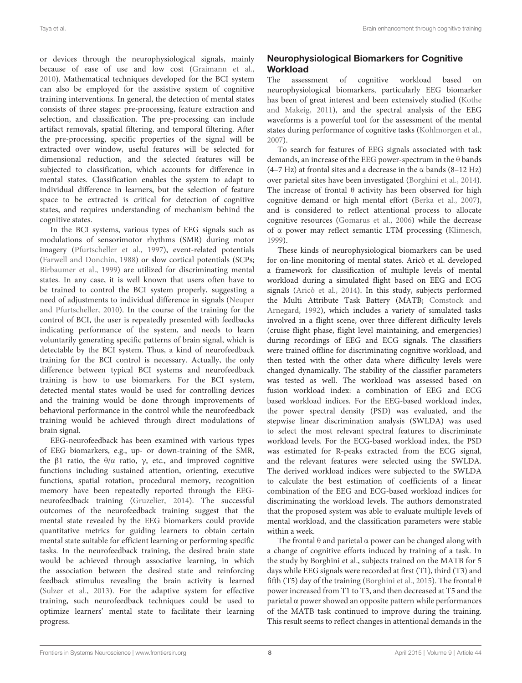or devices through the neurophysiological signals, mainly because of ease of use and low cost [\(Graimann et al.,](#page-16-18) [2010\)](#page-16-18). Mathematical techniques developed for the BCI system can also be employed for the assistive system of cognitive training interventions. In general, the detection of mental states consists of three stages: pre-processing, feature extraction and selection, and classification. The pre-processing can include artifact removals, spatial filtering, and temporal filtering. After the pre-processing, specific properties of the signal will be extracted over window, useful features will be selected for dimensional reduction, and the selected features will be subjected to classification, which accounts for difference in mental states. Classification enables the system to adapt to individual difference in learners, but the selection of feature space to be extracted is critical for detection of cognitive states, and requires understanding of mechanism behind the cognitive states.

In the BCI systems, various types of EEG signals such as modulations of sensorimotor rhythms (SMR) during motor imagery [\(Pfurtscheller et al.,](#page-17-23) [1997\)](#page-17-23), event-related potentials [\(Farwell and Donchin,](#page-15-22) [1988\)](#page-15-22) or slow cortical potentials (SCPs; [Birbaumer et al.,](#page-14-2) [1999\)](#page-14-2) are utilized for discriminating mental states. In any case, it is well known that users often have to be trained to control the BCI system properly, suggesting a need of adjustments to individual difference in signals [\(Neuper](#page-17-24) [and Pfurtscheller,](#page-17-24) [2010\)](#page-17-24). In the course of the training for the control of BCI, the user is repeatedly presented with feedbacks indicating performance of the system, and needs to learn voluntarily generating specific patterns of brain signal, which is detectable by the BCI system. Thus, a kind of neurofeedback training for the BCI control is necessary. Actually, the only difference between typical BCI systems and neurofeedback training is how to use biomarkers. For the BCI system, detected mental states would be used for controlling devices and the training would be done through improvements of behavioral performance in the control while the neurofeedback training would be achieved through direct modulations of brain signal.

EEG-neurofeedback has been examined with various types of EEG biomarkers, e.g., up- or down-training of the SMR, the β1 ratio, the  $θ/α$  ratio, γ, etc., and improved cognitive functions including sustained attention, orienting, executive functions, spatial rotation, procedural memory, recognition memory have been repeatedly reported through the EEGneurofeedback training [\(Gruzelier,](#page-16-19) [2014\)](#page-16-19). The successful outcomes of the neurofeedback training suggest that the mental state revealed by the EEG biomarkers could provide quantitative metrics for guiding learners to obtain certain mental state suitable for efficient learning or performing specific tasks. In the neurofeedback training, the desired brain state would be achieved through associative learning, in which the association between the desired state and reinforcing feedback stimulus revealing the brain activity is learned [\(Sulzer et al.,](#page-18-1) [2013\)](#page-18-1). For the adaptive system for effective training, such neurofeedback techniques could be used to optimize learners' mental state to facilitate their learning progress.

# Neurophysiological Biomarkers for Cognitive Workload

The assessment of cognitive workload based on neurophysiological biomarkers, particularly EEG biomarker has been of great interest and been extensively studied [\(Kothe](#page-16-4) [and Makeig,](#page-16-4) [2011\)](#page-16-4), and the spectral analysis of the EEG waveforms is a powerful tool for the assessment of the mental states during performance of cognitive tasks [\(Kohlmorgen et al.,](#page-16-20) [2007\)](#page-16-20).

To search for features of EEG signals associated with task demands, an increase of the EEG power-spectrum in the θ bands (4–7 Hz) at frontal sites and a decrease in the  $\alpha$  bands (8–12 Hz) over parietal sites have been investigated [\(Borghini et al.,](#page-15-23) [2014\)](#page-15-23). The increase of frontal  $\theta$  activity has been observed for high cognitive demand or high mental effort [\(Berka et al.,](#page-14-3) [2007\)](#page-14-3), and is considered to reflect attentional process to allocate cognitive resources [\(Gomarus et al.,](#page-16-21) [2006\)](#page-16-21) while the decrease of α power may reflect semantic LTM processing [\(Klimesch,](#page-16-22) [1999\)](#page-16-22).

These kinds of neurophysiological biomarkers can be used for on-line monitoring of mental states. Aricò et al. developed a framework for classification of multiple levels of mental workload during a simulated flight based on EEG and ECG signals [\(Aricò et al.,](#page-14-4) [2014\)](#page-14-4). In this study, subjects performed the Multi Attribute Task Battery (MATB; [Comstock and](#page-15-24) [Arnegard,](#page-15-24) [1992\)](#page-15-24), which includes a variety of simulated tasks involved in a flight scene, over three different difficulty levels (cruise flight phase, flight level maintaining, and emergencies) during recordings of EEG and ECG signals. The classifiers were trained offline for discriminating cognitive workload, and then tested with the other data where difficulty levels were changed dynamically. The stability of the classifier parameters was tested as well. The workload was assessed based on fusion workload index: a combination of EEG and ECG based workload indices. For the EEG-based workload index, the power spectral density (PSD) was evaluated, and the stepwise linear discrimination analysis (SWLDA) was used to select the most relevant spectral features to discriminate workload levels. For the ECG-based workload index, the PSD was estimated for R-peaks extracted from the ECG signal, and the relevant features were selected using the SWLDA. The derived workload indices were subjected to the SWLDA to calculate the best estimation of coefficients of a linear combination of the EEG and ECG-based workload indices for discriminating the workload levels. The authors demonstrated that the proposed system was able to evaluate multiple levels of mental workload, and the classification parameters were stable within a week.

The frontal  $\theta$  and parietal  $\alpha$  power can be changed along with a change of cognitive efforts induced by training of a task. In the study by Borghini et al., subjects trained on the MATB for 5 days while EEG signals were recorded at first (T1), third (T3) and fifth (T5) day of the training [\(Borghini et al.,](#page-15-25) [2015\)](#page-15-25). The frontal  $\theta$ power increased from T1 to T3, and then decreased at T5 and the parietal α power showed an opposite pattern while performances of the MATB task continued to improve during the training. This result seems to reflect changes in attentional demands in the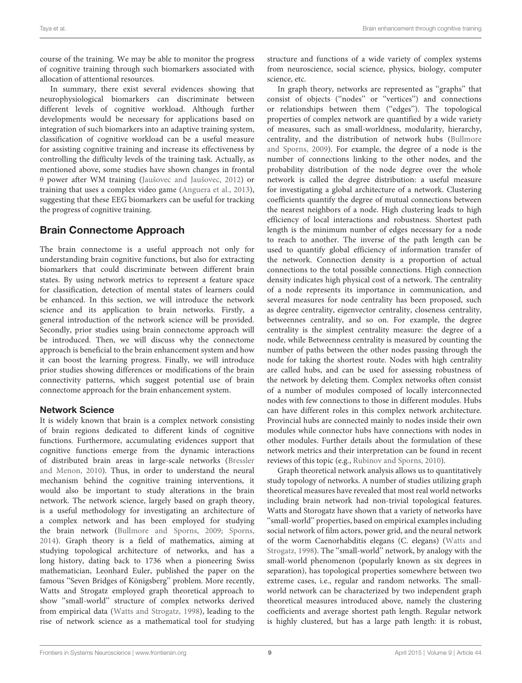course of the training. We may be able to monitor the progress of cognitive training through such biomarkers associated with allocation of attentional resources.

In summary, there exist several evidences showing that neurophysiological biomarkers can discriminate between different levels of cognitive workload. Although further developments would be necessary for applications based on integration of such biomarkers into an adaptive training system, classification of cognitive workload can be a useful measure for assisting cognitive training and increase its effectiveness by controlling the difficulty levels of the training task. Actually, as mentioned above, some studies have shown changes in frontal θ power after WM training [\(Jaušovec and Jaušovec,](#page-16-16) [2012\)](#page-16-16) or training that uses a complex video game [\(Anguera et al.,](#page-14-1) [2013\)](#page-14-1), suggesting that these EEG biomarkers can be useful for tracking the progress of cognitive training.

# Brain Connectome Approach

The brain connectome is a useful approach not only for understanding brain cognitive functions, but also for extracting biomarkers that could discriminate between different brain states. By using network metrics to represent a feature space for classification, detection of mental states of learners could be enhanced. In this section, we will introduce the network science and its application to brain networks. Firstly, a general introduction of the network science will be provided. Secondly, prior studies using brain connectome approach will be introduced. Then, we will discuss why the connectome approach is beneficial to the brain enhancement system and how it can boost the learning progress. Finally, we will introduce prior studies showing differences or modifications of the brain connectivity patterns, which suggest potential use of brain connectome approach for the brain enhancement system.

# Network Science

It is widely known that brain is a complex network consisting of brain regions dedicated to different kinds of cognitive functions. Furthermore, accumulating evidences support that cognitive functions emerge from the dynamic interactions of distributed brain areas in large-scale networks [\(Bressler](#page-15-4) [and Menon,](#page-15-4) [2010\)](#page-15-4). Thus, in order to understand the neural mechanism behind the cognitive training interventions, it would also be important to study alterations in the brain network. The network science, largely based on graph theory, is a useful methodology for investigating an architecture of a complex network and has been employed for studying the brain network [\(Bullmore and Sporns,](#page-15-26) [2009;](#page-15-26) [Sporns,](#page-17-4) [2014\)](#page-17-4). Graph theory is a field of mathematics, aiming at studying topological architecture of networks, and has a long history, dating back to 1736 when a pioneering Swiss mathematician, Leonhard Euler, published the paper on the famous ''Seven Bridges of Königsberg'' problem. More recently, Watts and Strogatz employed graph theoretical approach to show ''small-world'' structure of complex networks derived from empirical data [\(Watts and Strogatz,](#page-18-12) [1998\)](#page-18-12), leading to the rise of network science as a mathematical tool for studying structure and functions of a wide variety of complex systems from neuroscience, social science, physics, biology, computer science, etc.

In graph theory, networks are represented as ''graphs'' that consist of objects (''nodes'' or ''vertices'') and connections or relationships between them (''edges''). The topological properties of complex network are quantified by a wide variety of measures, such as small-worldness, modularity, hierarchy, centrality, and the distribution of network hubs [\(Bullmore](#page-15-26) [and Sporns,](#page-15-26) [2009\)](#page-15-26). For example, the degree of a node is the number of connections linking to the other nodes, and the probability distribution of the node degree over the whole network is called the degree distribution: a useful measure for investigating a global architecture of a network. Clustering coefficients quantify the degree of mutual connections between the nearest neighbors of a node. High clustering leads to high efficiency of local interactions and robustness. Shortest path length is the minimum number of edges necessary for a node to reach to another. The inverse of the path length can be used to quantify global efficiency of information transfer of the network. Connection density is a proportion of actual connections to the total possible connections. High connection density indicates high physical cost of a network. The centrality of a node represents its importance in communication, and several measures for node centrality has been proposed, such as degree centrality, eigenvector centrality, closeness centrality, betweennes centrality, and so on. For example, the degree centrality is the simplest centrality measure: the degree of a node, while Betweenness centrality is measured by counting the number of paths between the other nodes passing through the node for taking the shortest route. Nodes with high centrality are called hubs, and can be used for assessing robustness of the network by deleting them. Complex networks often consist of a number of modules composed of locally interconnected nodes with few connections to those in different modules. Hubs can have different roles in this complex network architecture. Provincial hubs are connected mainly to nodes inside their own modules while connector hubs have connections with nodes in other modules. Further details about the formulation of these network metrics and their interpretation can be found in recent reviews of this topic (e.g., [Rubinov and Sporns,](#page-17-25) [2010\)](#page-17-25).

Graph theoretical network analysis allows us to quantitatively study topology of networks. A number of studies utilizing graph theoretical measures have revealed that most real world networks including brain network had non-trivial topological features. Watts and Storogatz have shown that a variety of networks have ''small-world'' properties, based on empirical examples including social network of film actors, power grid, and the neural network of the worm Caenorhabditis elegans (C. elegans) [\(Watts and](#page-18-12) [Strogatz,](#page-18-12) [1998\)](#page-18-12). The ''small-world'' network, by analogy with the small-world phenomenon (popularly known as six degrees in separation), has topological properties somewhere between two extreme cases, i.e., regular and random networks. The smallworld network can be characterized by two independent graph theoretical measures introduced above, namely the clustering coefficients and average shortest path length. Regular network is highly clustered, but has a large path length: it is robust,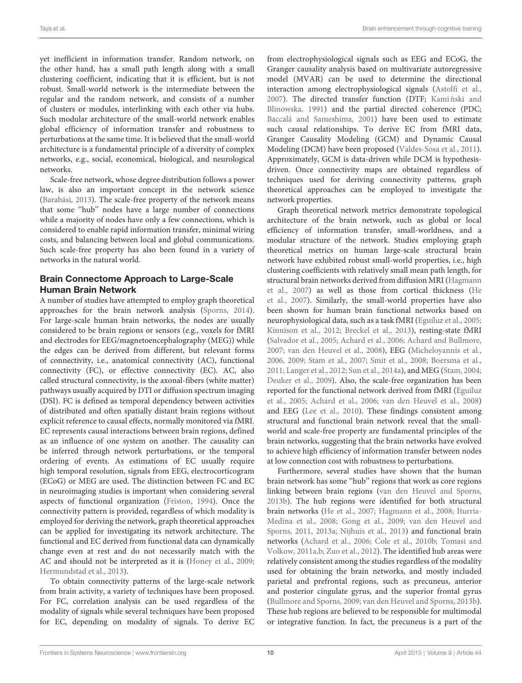yet inefficient in information transfer. Random network, on the other hand, has a small path length along with a small clustering coefficient, indicating that it is efficient, but is not robust. Small-world network is the intermediate between the regular and the random network, and consists of a number of clusters or modules, interlinking with each other via hubs. Such modular architecture of the small-world network enables global efficiency of information transfer and robustness to perturbations at the same time. It is believed that the small-world architecture is a fundamental principle of a diversity of complex networks, e.g., social, economical, biological, and neurological networks.

Scale-free network, whose degree distribution follows a power law, is also an important concept in the network science [\(Barabási,](#page-14-5) [2013\)](#page-14-5). The scale-free property of the network means that some ''hub'' nodes have a large number of connections while a majority of nodes have only a few connections, which is considered to enable rapid information transfer, minimal wiring costs, and balancing between local and global communications. Such scale-free property has also been found in a variety of networks in the natural world.

## Brain Connectome Approach to Large-Scale Human Brain Network

A number of studies have attempted to employ graph theoretical approaches for the brain network analysis [\(Sporns,](#page-17-4) [2014\)](#page-17-4). For large-scale human brain networks, the nodes are usually considered to be brain regions or sensors (e.g., voxels for fMRI and electrodes for EEG/magnetoencephalography (MEG)) while the edges can be derived from different, but relevant forms of connectivity, i.e., anatomical connectivity (AC), functional connectivity (FC), or effective connectivity (EC). AC, also called structural connectivity, is the axonal-fibers (white matter) pathways usually acquired by DTI or diffusion spectrum imaging (DSI). FC is defined as temporal dependency between activities of distributed and often spatially distant brain regions without explicit reference to causal effects, normally monitored via fMRI. EC represents causal interactions between brain regions, defined as an influence of one system on another. The causality can be inferred through network perturbations, or the temporal ordering of events. As estimations of EC usually require high temporal resolution, signals from EEG, electrocorticogram (ECoG) or MEG are used. The distinction between FC and EC in neuroimaging studies is important when considering several aspects of functional organization [\(Friston,](#page-15-27) [1994\)](#page-15-27). Once the connectivity pattern is provided, regardless of which modality is employed for deriving the network, graph theoretical approaches can be applied for investigating its network architecture. The functional and EC derived from functional data can dynamically change even at rest and do not necessarily match with the AC and should not be interpreted as it is [\(Honey et al.,](#page-16-23) [2009;](#page-16-23) [Hermundstad et al.,](#page-16-24) [2013\)](#page-16-24).

To obtain connectivity patterns of the large-scale network from brain activity, a variety of techniques have been proposed. For FC, correlation analysis can be used regardless of the modality of signals while several techniques have been proposed for EC, depending on modality of signals. To derive EC from electrophysiological signals such as EEG and ECoG, the Granger causality analysis based on multivariate autoregressive model (MVAR) can be used to determine the directional interaction among electrophysiological signals [\(Astolfi et al.,](#page-14-6) [2007\)](#page-14-6). The directed transfer function (DTF; Kami nski and [Blinowska,](#page-16-25) [1991\)](#page-16-25) and the partial directed coherence (PDC; [Baccalá and Sameshima,](#page-14-7) [2001\)](#page-14-7) have been used to estimate such causal relationships. To derive EC from fMRI data, Granger Causality Modeling (GCM) and Dynamic Causal Modeling (DCM) have been proposed [\(Valdes-Sosa et al.,](#page-18-13) [2011\)](#page-18-13). Approximately, GCM is data-driven while DCM is hypothesisdriven. Once connectivity maps are obtained regardless of techniques used for deriving connectivity patterns, graph theoretical approaches can be employed to investigate the network properties.

Graph theoretical network metrics demonstrate topological architecture of the brain network, such as global or local efficiency of information transfer, small-worldness, and a modular structure of the network. Studies employing graph theoretical metrics on human large-scale structural brain network have exhibited robust small-world properties, i.e., high clustering coefficients with relatively small mean path length, for structural brain networks derived from diffusion MRI [\(Hagmann](#page-16-26) [et al.,](#page-16-26) [2007\)](#page-16-26) as well as those from cortical thickness [\(He](#page-16-27) [et al.,](#page-16-27) [2007\)](#page-16-27). Similarly, the small-world properties have also been shown for human brain functional networks based on neurophysiological data, such as a task fMRI [\(Eguíluz et al.,](#page-15-28) [2005;](#page-15-28) [Kinnison et al.,](#page-16-28) [2012;](#page-16-28) [Breckel et al.,](#page-15-29) [2013\)](#page-15-29), resting-state fMRI [\(Salvador et al.,](#page-17-26) [2005;](#page-17-26) [Achard et al.,](#page-14-8) [2006;](#page-14-8) [Achard and Bullmore,](#page-14-9) [2007;](#page-14-9) [van den Heuvel et al.,](#page-18-14) [2008\)](#page-18-14), EEG [\(Micheloyannis et al.,](#page-17-27) [2006,](#page-17-27) [2009;](#page-17-28) [Stam et al.,](#page-17-29) [2007;](#page-17-29) [Smit et al.,](#page-17-30) [2008;](#page-17-30) [Boersma et al.,](#page-14-10) [2011;](#page-14-10) [Langer et al.,](#page-16-29) [2012;](#page-16-29) [Sun et al.,](#page-18-15) [2014a\)](#page-18-15), and MEG [\(Stam,](#page-17-31) [2004;](#page-17-31) [Deuker et al.,](#page-15-30) [2009\)](#page-15-30). Also, the scale-free organization has been reported for the functional network derived from fMRI [\(Eguíluz](#page-15-28) [et al.,](#page-15-28) [2005;](#page-15-28) [Achard et al.,](#page-14-8) [2006;](#page-14-8) [van den Heuvel et al.,](#page-18-14) [2008\)](#page-18-14) and EEG [\(Lee et al.,](#page-16-30) [2010\)](#page-16-30). These findings consistent among structural and functional brain network reveal that the smallworld and scale-free property are fundamental principles of the brain networks, suggesting that the brain networks have evolved to achieve high efficiency of information transfer between nodes at low connection cost with robustness to perturbations.

Furthermore, several studies have shown that the human brain network has some ''hub'' regions that work as core regions linking between brain regions [\(van den Heuvel and Sporns,](#page-18-16) [2013b\)](#page-18-16). The hub regions were identified for both structural brain networks [\(He et al.,](#page-16-27) [2007;](#page-16-27) [Hagmann et al.,](#page-16-31) [2008;](#page-16-31) [Iturria-](#page-16-32)[Medina et al.,](#page-16-32) [2008;](#page-16-32) [Gong et al.,](#page-16-33) [2009;](#page-16-33) [van den Heuvel and](#page-18-17) [Sporns,](#page-18-17) [2011,](#page-18-17) [2013a;](#page-18-18) [Nijhuis et al.,](#page-17-32) [2013\)](#page-17-32) and functional brain networks [\(Achard et al.,](#page-14-8) [2006;](#page-14-8) [Cole et al.,](#page-15-31) [2010b;](#page-15-31) [Tomasi and](#page-18-19) [Volkow,](#page-18-19) [2011a](#page-18-19)[,b;](#page-18-20) [Zuo et al.,](#page-18-21) [2012\)](#page-18-21). The identified hub areas were relatively consistent among the studies regardless of the modality used for obtaining the brain networks, and mostly included parietal and prefrontal regions, such as precuneus, anterior and posterior cingulate gyrus, and the superior frontal gyrus [\(Bullmore and Sporns,](#page-15-26) [2009;](#page-15-26) [van den Heuvel and Sporns,](#page-18-16) [2013b\)](#page-18-16). These hub regions are believed to be responsible for multimodal or integrative function. In fact, the precuneus is a part of the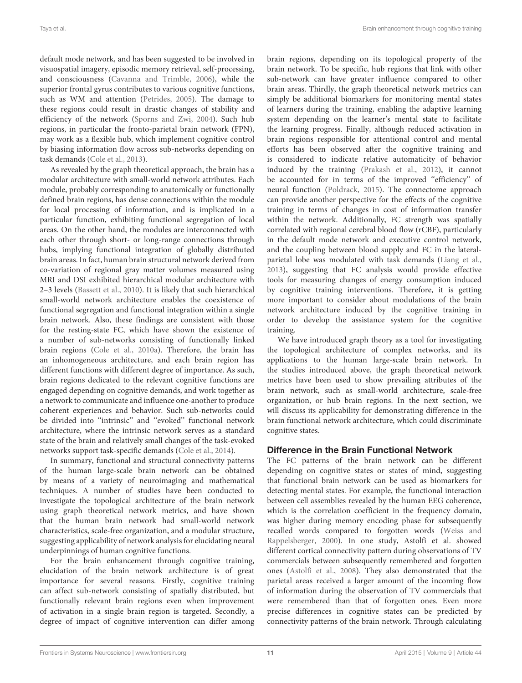default mode network, and has been suggested to be involved in visuospatial imagery, episodic memory retrieval, self-processing, and consciousness [\(Cavanna and Trimble,](#page-15-32) [2006\)](#page-15-32), while the superior frontal gyrus contributes to various cognitive functions, such as WM and attention [\(Petrides,](#page-17-33) [2005\)](#page-17-33). The damage to these regions could result in drastic changes of stability and efficiency of the network [\(Sporns and Zwi,](#page-17-34) [2004\)](#page-17-34). Such hub regions, in particular the fronto-parietal brain network (FPN), may work as a flexible hub, which implement cognitive control by biasing information flow across sub-networks depending on task demands [\(Cole et al.,](#page-15-33) [2013\)](#page-15-33).

As revealed by the graph theoretical approach, the brain has a modular architecture with small-world network attributes. Each module, probably corresponding to anatomically or functionally defined brain regions, has dense connections within the module for local processing of information, and is implicated in a particular function, exhibiting functional segregation of local areas. On the other hand, the modules are interconnected with each other through short- or long-range connections through hubs, implying functional integration of globally distributed brain areas. In fact, human brain structural network derived from co-variation of regional gray matter volumes measured using MRI and DSI exhibited hierarchical modular architecture with 2–3 levels [\(Bassett et al.,](#page-14-11) [2010\)](#page-14-11). It is likely that such hierarchical small-world network architecture enables the coexistence of functional segregation and functional integration within a single brain network. Also, these findings are consistent with those for the resting-state FC, which have shown the existence of a number of sub-networks consisting of functionally linked brain regions [\(Cole et al.,](#page-15-34) [2010a\)](#page-15-34). Therefore, the brain has an inhomogeneous architecture, and each brain region has different functions with different degree of importance. As such, brain regions dedicated to the relevant cognitive functions are engaged depending on cognitive demands, and work together as a network to communicate and influence one-another to produce coherent experiences and behavior. Such sub-networks could be divided into ''intrinsic'' and ''evoked'' functional network architecture, where the intrinsic network serves as a standard state of the brain and relatively small changes of the task-evoked networks support task-specific demands [\(Cole et al.,](#page-15-35) [2014\)](#page-15-35).

In summary, functional and structural connectivity patterns of the human large-scale brain network can be obtained by means of a variety of neuroimaging and mathematical techniques. A number of studies have been conducted to investigate the topological architecture of the brain network using graph theoretical network metrics, and have shown that the human brain network had small-world network characteristics, scale-free organization, and a modular structure, suggesting applicability of network analysis for elucidating neural underpinnings of human cognitive functions.

For the brain enhancement through cognitive training, elucidation of the brain network architecture is of great importance for several reasons. Firstly, cognitive training can affect sub-network consisting of spatially distributed, but functionally relevant brain regions even when improvement of activation in a single brain region is targeted. Secondly, a degree of impact of cognitive intervention can differ among

brain regions, depending on its topological property of the brain network. To be specific, hub regions that link with other sub-network can have greater influence compared to other brain areas. Thirdly, the graph theoretical network metrics can simply be additional biomarkers for monitoring mental states of learners during the training, enabling the adaptive learning system depending on the learner's mental state to facilitate the learning progress. Finally, although reduced activation in brain regions responsible for attentional control and mental efforts has been observed after the cognitive training and is considered to indicate relative automaticity of behavior induced by the training [\(Prakash et al.,](#page-17-21) [2012\)](#page-17-21), it cannot be accounted for in terms of the improved "efficiency" of neural function [\(Poldrack,](#page-17-35) [2015\)](#page-17-35). The connectome approach can provide another perspective for the effects of the cognitive training in terms of changes in cost of information transfer within the network. Additionally, FC strength was spatially correlated with regional cerebral blood flow (rCBF), particularly in the default mode network and executive control network, and the coupling between blood supply and FC in the lateralparietal lobe was modulated with task demands [\(Liang et al.,](#page-16-34) [2013\)](#page-16-34), suggesting that FC analysis would provide effective tools for measuring changes of energy consumption induced by cognitive training interventions. Therefore, it is getting more important to consider about modulations of the brain network architecture induced by the cognitive training in order to develop the assistance system for the cognitive training.

We have introduced graph theory as a tool for investigating the topological architecture of complex networks, and its applications to the human large-scale brain network. In the studies introduced above, the graph theoretical network metrics have been used to show prevailing attributes of the brain network, such as small-world architecture, scale-free organization, or hub brain regions. In the next section, we will discuss its applicability for demonstrating difference in the brain functional network architecture, which could discriminate cognitive states.

## Difference in the Brain Functional Network

The FC patterns of the brain network can be different depending on cognitive states or states of mind, suggesting that functional brain network can be used as biomarkers for detecting mental states. For example, the functional interaction between cell assemblies revealed by the human EEG coherence, which is the correlation coefficient in the frequency domain, was higher during memory encoding phase for subsequently recalled words compared to forgotten words [\(Weiss and](#page-18-22) [Rappelsberger,](#page-18-22) [2000\)](#page-18-22). In one study, Astolfi et al. showed different cortical connectivity pattern during observations of TV commercials between subsequently remembered and forgotten ones [\(Astolfi et al.,](#page-14-12) [2008\)](#page-14-12). They also demonstrated that the parietal areas received a larger amount of the incoming flow of information during the observation of TV commercials that were remembered than that of forgotten ones. Even more precise differences in cognitive states can be predicted by connectivity patterns of the brain network. Through calculating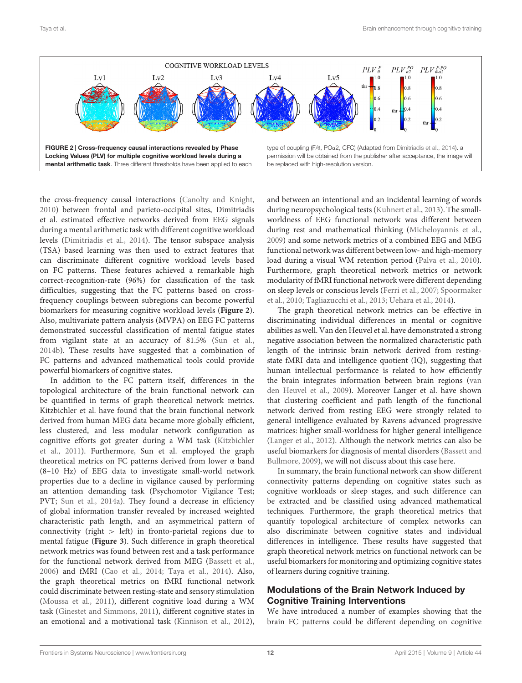

<span id="page-11-0"></span>the cross-frequency causal interactions [\(Canolty and Knight,](#page-15-37) [2010\)](#page-15-37) between frontal and parieto-occipital sites, Dimitriadis et al. estimated effective networks derived from EEG signals during a mental arithmetic task with different cognitive workload levels [\(Dimitriadis et al.,](#page-15-36) [2014\)](#page-15-36). The tensor subspace analysis (TSA) based learning was then used to extract features that can discriminate different cognitive workload levels based on FC patterns. These features achieved a remarkable high correct-recognition-rate (96%) for classification of the task difficulties, suggesting that the FC patterns based on crossfrequency couplings between subregions can become powerful biomarkers for measuring cognitive workload levels (**[Figure 2](#page-11-0)**). Also, multivariate pattern analysis (MVPA) on EEG FC patterns demonstrated successful classification of mental fatigue states from vigilant state at an accuracy of 81.5% [\(Sun et al.,](#page-18-23) [2014b\)](#page-18-23). These results have suggested that a combination of FC patterns and advanced mathematical tools could provide powerful biomarkers of cognitive states.

In addition to the FC pattern itself, differences in the topological architecture of the brain functional network can be quantified in terms of graph theoretical network metrics. Kitzbichler et al. have found that the brain functional network derived from human MEG data became more globally efficient, less clustered, and less modular network configuration as cognitive efforts got greater during a WM task [\(Kitzbichler](#page-16-35) [et al.,](#page-16-35) [2011\)](#page-16-35). Furthermore, Sun et al. employed the graph theoretical metrics on FC patterns derived from lower α band (8–10 Hz) of EEG data to investigate small-world network properties due to a decline in vigilance caused by performing an attention demanding task (Psychomotor Vigilance Test; PVT; [Sun et al.,](#page-18-15) [2014a\)](#page-18-15). They found a decrease in efficiency of global information transfer revealed by increased weighted characteristic path length, and an asymmetrical pattern of connectivity (right  $>$  left) in fronto-parietal regions due to mental fatigue (**[Figure 3](#page-12-0)**). Such difference in graph theoretical network metrics was found between rest and a task performance for the functional network derived from MEG [\(Bassett et al.,](#page-14-13) [2006\)](#page-14-13) and fMRI [\(Cao et al.,](#page-15-38) [2014;](#page-15-38) [Taya et al.,](#page-18-24) [2014\)](#page-18-24). Also, the graph theoretical metrics on fMRI functional network could discriminate between resting-state and sensory stimulation [\(Moussa et al.,](#page-17-36) [2011\)](#page-17-36), different cognitive load during a WM task [\(Ginestet and Simmons,](#page-16-36) [2011\)](#page-16-36), different cognitive states in an emotional and a motivational task [\(Kinnison et al.,](#page-16-28) [2012\)](#page-16-28), and between an intentional and an incidental learning of words during neuropsychological tests [\(Kuhnert et al.,](#page-16-37) [2013\)](#page-16-37). The smallworldness of EEG functional network was different between during rest and mathematical thinking [\(Micheloyannis et al.,](#page-17-28) [2009\)](#page-17-28) and some network metrics of a combined EEG and MEG functional network was different between low- and high-memory load during a visual WM retention period [\(Palva et al.,](#page-17-37) [2010\)](#page-17-37). Furthermore, graph theoretical network metrics or network modularity of fMRI functional network were different depending on sleep levels or conscious levels [\(Ferri et al.,](#page-15-39) [2007;](#page-15-39) [Spoormaker](#page-17-38) [et al.,](#page-17-38) [2010;](#page-17-38) [Tagliazucchi et al.,](#page-18-25) [2013;](#page-18-25) [Uehara et al.,](#page-18-26) [2014\)](#page-18-26).

The graph theoretical network metrics can be effective in discriminating individual differences in mental or cognitive abilities as well. Van den Heuvel et al. have demonstrated a strong negative association between the normalized characteristic path length of the intrinsic brain network derived from restingstate fMRI data and intelligence quotient (IQ), suggesting that human intellectual performance is related to how efficiently the brain integrates information between brain regions [\(van](#page-18-27) [den Heuvel et al.,](#page-18-27) [2009\)](#page-18-27). Moreover Langer et al. have shown that clustering coefficient and path length of the functional network derived from resting EEG were strongly related to general intelligence evaluated by Ravens advanced progressive matrices: higher small-worldness for higher general intelligence [\(Langer et al.,](#page-16-29) [2012\)](#page-16-29). Although the network metrics can also be useful biomarkers for diagnosis of mental disorders [\(Bassett and](#page-14-14) [Bullmore,](#page-14-14) [2009\)](#page-14-14), we will not discuss about this case here.

In summary, the brain functional network can show different connectivity patterns depending on cognitive states such as cognitive workloads or sleep stages, and such difference can be extracted and be classified using advanced mathematical techniques. Furthermore, the graph theoretical metrics that quantify topological architecture of complex networks can also discriminate between cognitive states and individual differences in intelligence. These results have suggested that graph theoretical network metrics on functional network can be useful biomarkers for monitoring and optimizing cognitive states of learners during cognitive training.

# Modulations of the Brain Network Induced by Cognitive Training Interventions

We have introduced a number of examples showing that the brain FC patterns could be different depending on cognitive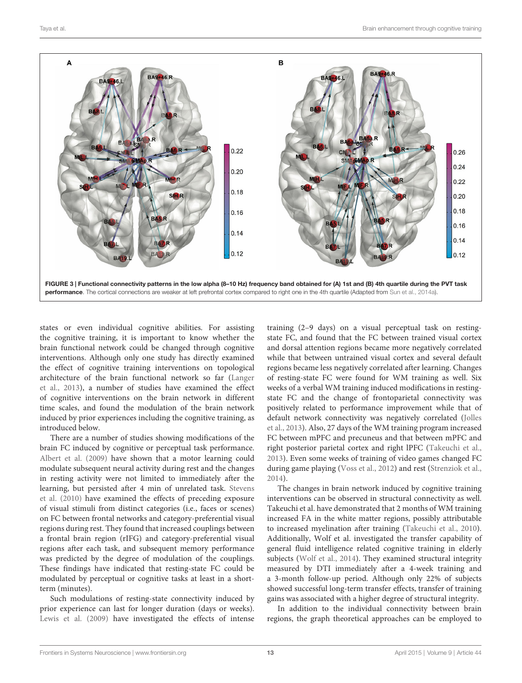

<span id="page-12-0"></span>states or even individual cognitive abilities. For assisting the cognitive training, it is important to know whether the brain functional network could be changed through cognitive interventions. Although only one study has directly examined the effect of cognitive training interventions on topological architecture of the brain functional network so far [\(Langer](#page-16-5) [et al.,](#page-16-5) [2013\)](#page-16-5), a number of studies have examined the effect of cognitive interventions on the brain network in different time scales, and found the modulation of the brain network induced by prior experiences including the cognitive training, as introduced below.

There are a number of studies showing modifications of the brain FC induced by cognitive or perceptual task performance. [Albert et al.](#page-14-15) [\(2009\)](#page-14-15) have shown that a motor learning could modulate subsequent neural activity during rest and the changes in resting activity were not limited to immediately after the learning, but persisted after 4 min of unrelated task. [Stevens](#page-17-39) [et al.](#page-17-39) [\(2010\)](#page-17-39) have examined the effects of preceding exposure of visual stimuli from distinct categories (i.e., faces or scenes) on FC between frontal networks and category-preferential visual regions during rest. They found that increased couplings between a frontal brain region (rIFG) and category-preferential visual regions after each task, and subsequent memory performance was predicted by the degree of modulation of the couplings. These findings have indicated that resting-state FC could be modulated by perceptual or cognitive tasks at least in a shortterm (minutes).

Such modulations of resting-state connectivity induced by prior experience can last for longer duration (days or weeks). [Lewis et al.](#page-16-38) [\(2009\)](#page-16-38) have investigated the effects of intense training (2–9 days) on a visual perceptual task on restingstate FC, and found that the FC between trained visual cortex and dorsal attention regions became more negatively correlated while that between untrained visual cortex and several default regions became less negatively correlated after learning. Changes of resting-state FC were found for WM training as well. Six weeks of a verbal WM training induced modifications in restingstate FC and the change of frontoparietal connectivity was positively related to performance improvement while that of default network connectivity was negatively correlated [\(Jolles](#page-16-39) [et al.,](#page-16-39) [2013\)](#page-16-39). Also, 27 days of the WM training program increased FC between mPFC and precuneus and that between mPFC and right posterior parietal cortex and right lPFC [\(Takeuchi et al.,](#page-18-28) [2013\)](#page-18-28). Even some weeks of training of video games changed FC during game playing [\(Voss et al.,](#page-18-29) [2012\)](#page-18-29) and rest [\(Strenziok et al.,](#page-17-40) [2014\)](#page-17-40).

The changes in brain network induced by cognitive training interventions can be observed in structural connectivity as well. Takeuchi et al. have demonstrated that 2 months of WM training increased FA in the white matter regions, possibly attributable to increased myelination after training [\(Takeuchi et al.,](#page-18-7) [2010\)](#page-18-7). Additionally, Wolf et al. investigated the transfer capability of general fluid intelligence related cognitive training in elderly subjects [\(Wolf et al.,](#page-18-10) [2014\)](#page-18-10). They examined structural integrity measured by DTI immediately after a 4-week training and a 3-month follow-up period. Although only 22% of subjects showed successful long-term transfer effects, transfer of training gains was associated with a higher degree of structural integrity.

In addition to the individual connectivity between brain regions, the graph theoretical approaches can be employed to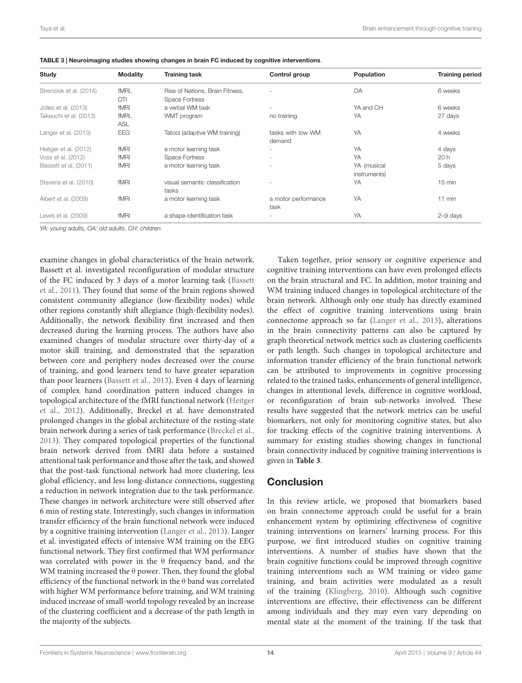| Study                   | <b>Modality</b> | <b>Training task</b>            | Control group            | Population   | <b>Training period</b> |
|-------------------------|-----------------|---------------------------------|--------------------------|--------------|------------------------|
| Strenziok et al. (2014) | fMRI.           | Rise of Nations, Brain Fitness, |                          | <b>OA</b>    | 6 weeks                |
|                         | DTI             | Space Fortress                  |                          |              |                        |
| Jolles et al. (2013)    | fMRI            | a verbal WM task                |                          | YA and CH    | 6 weeks                |
| Takeuchi et al. (2013)  | fMRI,           | WMT program                     | no training              | YA           | 27 days                |
|                         | <b>ASL</b>      |                                 |                          |              |                        |
| Langer et al. (2013)    | EEG             | Tatool (adaptive WM training)   | tasks with low WM        | YA           | 4 weeks                |
|                         |                 |                                 | demand                   |              |                        |
| Heitger et al. (2012)   | fMRI            | a motor learning task           | ٠                        | YA           | 4 days                 |
| Voss et al. (2012)      | fMRI            | Space Fortress                  | $\overline{\phantom{a}}$ | YA           | 20h                    |
| Bassett et al. (2011)   | fMRI            | a motor learning task           | $\overline{\phantom{a}}$ | YA (musical  | 5 days                 |
|                         |                 |                                 |                          | instruments) |                        |
| Stevens et al. (2010)   | fMRI            | visual semantic classification  |                          | YA           | $15 \text{ min}$       |
|                         |                 | tasks                           |                          |              |                        |
| Albert et al. (2009)    | fMRI            | a motor learning task           | a motor performance      | YA           | 11 min                 |
|                         |                 |                                 | task                     |              |                        |
| Lewis et al. (2009)     | fMRI            | a shape-identification task     | $\overline{\phantom{a}}$ | YA           | $2 - 9$ days           |
|                         |                 |                                 |                          |              |                        |

<span id="page-13-0"></span>

YA: young adults, OA: old adults, CH: children.

examine changes in global characteristics of the brain network. Bassett et al. investigated reconfiguration of modular structure of the FC induced by 3 days of a motor learning task [\(Bassett](#page-14-16) [et al.,](#page-14-16) [2011\)](#page-14-16). They found that some of the brain regions showed consistent community allegiance (low-flexibility nodes) while other regions constantly shift allegiance (high-flexibility nodes). Additionally, the network flexibility first increased and then decreased during the learning process. The authors have also examined changes of modular structure over thirty-day of a motor skill training, and demonstrated that the separation between core and periphery nodes decreased over the course of training, and good learners tend to have greater separation than poor learners [\(Bassett et al.,](#page-14-17) [2013\)](#page-14-17). Even 4 days of learning of complex hand coordination pattern induced changes in topological architecture of the fMRI functional network [\(Heitger](#page-16-40) [et al.,](#page-16-40) [2012\)](#page-16-40). Additionally, Breckel et al. have demonstrated prolonged changes in the global architecture of the resting-state brain network during a series of task performance [\(Breckel et al.,](#page-15-29) [2013\)](#page-15-29). They compared topological properties of the functional brain network derived from fMRI data before a sustained attentional task performance and those after the task, and showed that the post-task functional network had more clustering, less global efficiency, and less long-distance connections, suggesting a reduction in network integration due to the task performance. These changes in network architecture were still observed after 6 min of resting state. Interestingly, such changes in information transfer efficiency of the brain functional network were induced by a cognitive training intervention [\(Langer et al.,](#page-16-5) [2013\)](#page-16-5). Langer et al. investigated effects of intensive WM training on the EEG functional network. They first confirmed that WM performance was correlated with power in the θ frequency band, and the WM training increased the θ power. Then, they found the global efficiency of the functional network in the θ band was correlated with higher WM performance before training, and WM training induced increase of small-world topology revealed by an increase of the clustering coefficient and a decrease of the path length in the majority of the subjects.

Taken together, prior sensory or cognitive experience and cognitive training interventions can have even prolonged effects on the brain structural and FC. In addition, motor training and WM training induced changes in topological architecture of the brain network. Although only one study has directly examined the effect of cognitive training interventions using brain connectome approach so far [\(Langer et al.,](#page-16-5) [2013\)](#page-16-5), alterations in the brain connectivity patterns can also be captured by graph theoretical network metrics such as clustering coefficients or path length. Such changes in topological architecture and information transfer efficiency of the brain functional network can be attributed to improvements in cognitive processing related to the trained tasks, enhancements of general intelligence, changes in attentional levels, difference in cognitive workload, or reconfiguration of brain sub-networks involved. These results have suggested that the network metrics can be useful biomarkers, not only for monitoring cognitive states, but also for tracking effects of the cognitive training interventions. A summary for existing studies showing changes in functional brain connectivity induced by cognitive training interventions is given in **[Table 3](#page-13-0)**.

# **Conclusion**

In this review article, we proposed that biomarkers based on brain connectome approach could be useful for a brain enhancement system by optimizing effectiveness of cognitive training interventions on learners' learning process. For this purpose, we first introduced studies on cognitive training interventions. A number of studies have shown that the brain cognitive functions could be improved through cognitive training interventions such as WM training or video game training, and brain activities were modulated as a result of the training [\(Klingberg,](#page-16-1) [2010\)](#page-16-1). Although such cognitive interventions are effective, their effectiveness can be different among individuals and they may even vary depending on mental state at the moment of the training. If the task that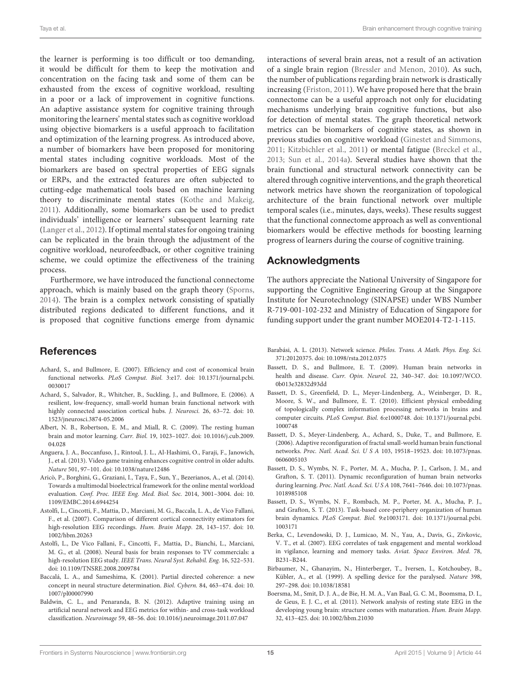the learner is performing is too difficult or too demanding, it would be difficult for them to keep the motivation and concentration on the facing task and some of them can be exhausted from the excess of cognitive workload, resulting in a poor or a lack of improvement in cognitive functions. An adaptive assistance system for cognitive training through monitoring the learners' mental states such as cognitive workload using objective biomarkers is a useful approach to facilitation and optimization of the learning progress. As introduced above, a number of biomarkers have been proposed for monitoring mental states including cognitive workloads. Most of the biomarkers are based on spectral properties of EEG signals or ERPs, and the extracted features are often subjected to cutting-edge mathematical tools based on machine learning theory to discriminate mental states [\(Kothe and Makeig,](#page-16-4) [2011\)](#page-16-4). Additionally, some biomarkers can be used to predict individuals' intelligence or learners' subsequent learning rate [\(Langer et al.,](#page-16-29) [2012\)](#page-16-29). If optimal mental states for ongoing training can be replicated in the brain through the adjustment of the cognitive workload, neurofeedback, or other cognitive training scheme, we could optimize the effectiveness of the training process.

Furthermore, we have introduced the functional connectome approach, which is mainly based on the graph theory [\(Sporns,](#page-17-4) [2014\)](#page-17-4). The brain is a complex network consisting of spatially distributed regions dedicated to different functions, and it is proposed that cognitive functions emerge from dynamic

# **References**

- <span id="page-14-9"></span>Achard, S., and Bullmore, E. (2007). Efficiency and cost of economical brain functional networks. PLoS Comput. Biol. 3:e17. doi: 10.1371/journal.pcbi. 0030017
- <span id="page-14-8"></span>Achard, S., Salvador, R., Whitcher, B., Suckling, J., and Bullmore, E. (2006). A resilient, low-frequency, small-world human brain functional network with highly connected association cortical hubs. J. Neurosci. 26, 63–72. doi: 10. 1523/jneurosci.3874-05.2006
- <span id="page-14-15"></span>Albert, N. B., Robertson, E. M., and Miall, R. C. (2009). The resting human brain and motor learning. Curr. Biol. 19, 1023–1027. doi: 10.1016/j.cub.2009. 04.028
- <span id="page-14-1"></span>Anguera, J. A., Boccanfuso, J., Rintoul, J. L., Al-Hashimi, O., Faraji, F., Janowich, J., et al. (2013). Video game training enhances cognitive control in older adults. Nature 501, 97–101. doi: 10.1038/nature12486
- <span id="page-14-4"></span>Aricò, P., Borghini, G., Graziani, I., Taya, F., Sun, Y., Bezerianos, A., et al. (2014). Towards a multimodal bioelectrical framework for the online mental workload evaluation. Conf. Proc. IEEE Eng. Med. Biol. Soc. 2014, 3001–3004. doi: 10. 1109/EMBC.2014.6944254
- <span id="page-14-6"></span>Astolfi, L., Cincotti, F., Mattia, D., Marciani, M. G., Baccala, L. A., de Vico Fallani, F., et al. (2007). Comparison of different cortical connectivity estimators for high-resolution EEG recordings. Hum. Brain Mapp. 28, 143–157. doi: 10. 1002/hbm.20263
- <span id="page-14-12"></span>Astolfi, L., De Vico Fallani, F., Cincotti, F., Mattia, D., Bianchi, L., Marciani, M. G., et al. (2008). Neural basis for brain responses to TV commercials: a high-resolution EEG study. IEEE Trans. Neural Syst. Rehabil. Eng. 16, 522–531. doi: 10.1109/TNSRE.2008.2009784
- <span id="page-14-7"></span>Baccalá, L. A., and Sameshima, K. (2001). Partial directed coherence: a new concept in neural structure determination. Biol. Cybern. 84, 463–474. doi: 10. 1007/pl00007990
- <span id="page-14-0"></span>Baldwin, C. L., and Penaranda, B. N. (2012). Adaptive training using an artificial neural network and EEG metrics for within- and cross-task workload classification. Neuroimage 59, 48–56. doi: 10.1016/j.neuroimage.2011.07.047

interactions of several brain areas, not a result of an activation of a single brain region [\(Bressler and Menon,](#page-15-4) [2010\)](#page-15-4). As such, the number of publications regarding brain network is drastically increasing [\(Friston,](#page-15-40) [2011\)](#page-15-40). We have proposed here that the brain connectome can be a useful approach not only for elucidating mechanisms underlying brain cognitive functions, but also for detection of mental states. The graph theoretical network metrics can be biomarkers of cognitive states, as shown in previous studies on cognitive workload [\(Ginestet and Simmons,](#page-16-36) [2011;](#page-16-36) [Kitzbichler et al.,](#page-16-35) [2011\)](#page-16-35) or mental fatigue [\(Breckel et al.,](#page-15-29) [2013;](#page-15-29) [Sun et al.,](#page-18-15) [2014a\)](#page-18-15). Several studies have shown that the brain functional and structural network connectivity can be altered through cognitive interventions, and the graph theoretical network metrics have shown the reorganization of topological architecture of the brain functional network over multiple temporal scales (i.e., minutes, days, weeks). These results suggest that the functional connectome approach as well as conventional biomarkers would be effective methods for boosting learning progress of learners during the course of cognitive training.

## Acknowledgments

The authors appreciate the National University of Singapore for supporting the Cognitive Engineering Group at the Singapore Institute for Neurotechnology (SINAPSE) under WBS Number R-719-001-102-232 and Ministry of Education of Singapore for funding support under the grant number MOE2014-T2-1-115.

- <span id="page-14-5"></span>Barabási, A. L. (2013). Network science. Philos. Trans. A Math. Phys. Eng. Sci. 371:20120375. doi: 10.1098/rsta.2012.0375
- <span id="page-14-14"></span>Bassett, D. S., and Bullmore, E. T. (2009). Human brain networks in health and disease. Curr. Opin. Neurol. 22, 340–347. doi: 10.1097/WCO. 0b013e32832d93dd
- <span id="page-14-11"></span>Bassett, D. S., Greenfield, D. L., Meyer-Lindenberg, A., Weinberger, D. R., Moore, S. W., and Bullmore, E. T. (2010). Efficient physical embedding of topologically complex information processing networks in brains and computer circuits. PLoS Comput. Biol. 6:e1000748. doi: 10.1371/journal.pcbi. 1000748
- <span id="page-14-13"></span>Bassett, D. S., Meyer-Lindenberg, A., Achard, S., Duke, T., and Bullmore, E. (2006). Adaptive reconfiguration of fractal small-world human brain functional networks. Proc. Natl. Acad. Sci. U S A 103, 19518–19523. doi: 10.1073/pnas. 0606005103
- <span id="page-14-16"></span>Bassett, D. S., Wymbs, N. F., Porter, M. A., Mucha, P. J., Carlson, J. M., and Grafton, S. T. (2011). Dynamic reconfiguration of human brain networks during learning. Proc. Natl. Acad. Sci. U S A 108, 7641–7646. doi: 10.1073/pnas. 1018985108
- <span id="page-14-17"></span>Bassett, D. S., Wymbs, N. F., Rombach, M. P., Porter, M. A., Mucha, P. J., and Grafton, S. T. (2013). Task-based core-periphery organization of human brain dynamics. PLoS Comput. Biol. 9:e1003171. doi: 10.1371/journal.pcbi. 1003171
- <span id="page-14-3"></span>Berka, C., Levendowski, D. J., Lumicao, M. N., Yau, A., Davis, G., Zivkovic, V. T., et al. (2007). EEG correlates of task engagement and mental workload in vigilance, learning and memory tasks. Aviat. Space Environ. Med. 78, B231–B244.
- <span id="page-14-2"></span>Birbaumer, N., Ghanayim, N., Hinterberger, T., Iversen, I., Kotchoubey, B., Kübler, A., et al. (1999). A spelling device for the paralysed. Nature 398, 297–298. doi: 10.1038/18581
- <span id="page-14-10"></span>Boersma, M., Smit, D. J. A., de Bie, H. M. A., Van Baal, G. C. M., Boomsma, D. I., de Geus, E. J. C., et al. (2011). Network analysis of resting state EEG in the developing young brain: structure comes with maturation. Hum. Brain Mapp. 32, 413–425. doi: 10.1002/hbm.21030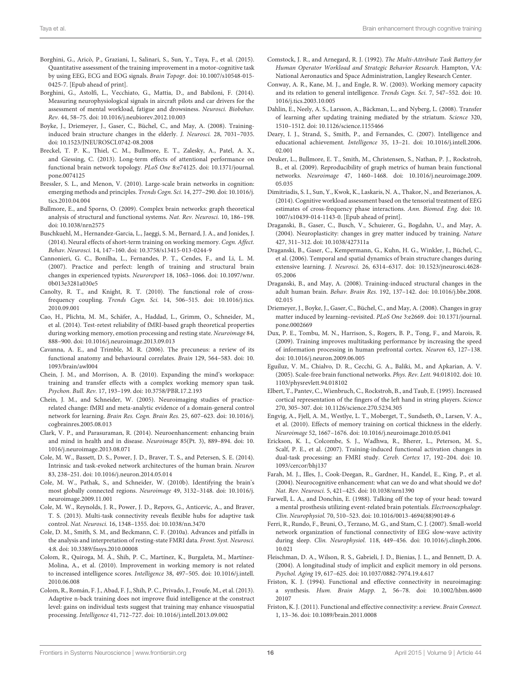- <span id="page-15-25"></span>Borghini, G., Aricò, P., Graziani, I., Salinari, S., Sun, Y., Taya, F., et al. (2015). Quantitative assessment of the training improvement in a motor-cognitive task by using EEG, ECG and EOG signals. Brain Topogr. doi: 10.1007/s10548-015- 0425-7. [Epub ahead of print].
- <span id="page-15-23"></span>Borghini, G., Astolfi, L., Vecchiato, G., Mattia, D., and Babiloni, F. (2014). Measuring neurophysiological signals in aircraft pilots and car drivers for the assessment of mental workload, fatigue and drowsiness. Neurosci. Biobehav. Rev. 44, 58–75. doi: 10.1016/j.neubiorev.2012.10.003
- <span id="page-15-18"></span>Boyke, J., Driemeyer, J., Gaser, C., Büchel, C., and May, A. (2008). Traininginduced brain structure changes in the elderly. J. Neurosci. 28, 7031–7035. doi: 10.1523/JNEUROSCI.0742-08.2008
- <span id="page-15-29"></span>Breckel, T. P. K., Thiel, C. M., Bullmore, E. T., Zalesky, A., Patel, A. X., and Giessing, C. (2013). Long-term effects of attentional performance on functional brain network topology. PLoS One 8:e74125. doi: 10.1371/journal. pone.0074125
- <span id="page-15-4"></span>Bressler, S. L., and Menon, V. (2010). Large-scale brain networks in cognition: emerging methods and principles. Trends Cogn. Sci. 14, 277–290. doi: 10.1016/j. tics.2010.04.004
- <span id="page-15-26"></span>Bullmore, E., and Sporns, O. (2009). Complex brain networks: graph theoretical analysis of structural and functional systems. Nat. Rev. Neurosci. 10, 186–198. doi: 10.1038/nrn2575
- <span id="page-15-12"></span>Buschkuehl, M., Hernandez-Garcia, L., Jaeggi, S. M., Bernard, J. A., and Jonides, J. (2014). Neural effects of short-term training on working memory. Cogn. Affect. Behav. Neurosci. 14, 147–160. doi: 10.3758/s13415-013-0244-9
- <span id="page-15-15"></span>Cannonieri, G. C., Bonilha, L., Fernandes, P. T., Cendes, F., and Li, L. M. (2007). Practice and perfect: length of training and structural brain changes in experienced typists. Neuroreport 18, 1063–1066. doi: 10.1097/wnr. 0b013e3281a030e5
- <span id="page-15-37"></span>Canolty, R. T., and Knight, R. T. (2010). The functional role of crossfrequency coupling. Trends Cogn. Sci. 14, 506–515. doi: 10.1016/j.tics. 2010.09.001
- <span id="page-15-38"></span>Cao, H., Plichta, M. M., Schäfer, A., Haddad, L., Grimm, O., Schneider, M., et al. (2014). Test-retest reliability of fMRI-based graph theoretical properties during working memory, emotion processing and resting state. Neuroimage 84, 888–900. doi: 10.1016/j.neuroimage.2013.09.013
- <span id="page-15-32"></span>Cavanna, A. E., and Trimble, M. R. (2006). The precuneus: a review of its functional anatomy and behavioural correlates. Brain 129, 564–583. doi: 10. 1093/brain/awl004
- <span id="page-15-8"></span>Chein, J. M., and Morrison, A. B. (2010). Expanding the mind's workspace: training and transfer effects with a complex working memory span task. Psychon. Bull. Rev. 17, 193–199. doi: 10.3758/PBR.17.2.193
- <span id="page-15-13"></span>Chein, J. M., and Schneider, W. (2005). Neuroimaging studies of practicerelated change: fMRI and meta-analytic evidence of a domain-general control network for learning. Brain Res. Cogn. Brain Res. 25, 607–623. doi: 10.1016/j. cogbrainres.2005.08.013
- <span id="page-15-0"></span>Clark, V. P., and Parasuraman, R. (2014). Neuroenhancement: enhancing brain and mind in health and in disease. Neuroimage 85(Pt. 3), 889–894. doi: 10. 1016/j.neuroimage.2013.08.071
- <span id="page-15-35"></span>Cole, M. W., Bassett, D. S., Power, J. D., Braver, T. S., and Petersen, S. E. (2014). Intrinsic and task-evoked network architectures of the human brain. Neuron 83, 238–251. doi: 10.1016/j.neuron.2014.05.014
- <span id="page-15-31"></span>Cole, M. W., Pathak, S., and Schneider, W. (2010b). Identifying the brain's most globally connected regions. Neuroimage 49, 3132–3148. doi: 10.1016/j. neuroimage.2009.11.001
- <span id="page-15-33"></span>Cole, M. W., Reynolds, J. R., Power, J. D., Repovs, G., Anticevic, A., and Braver, T. S. (2013). Multi-task connectivity reveals flexible hubs for adaptive task control. Nat. Neurosci. 16, 1348–1355. doi: 10.1038/nn.3470
- <span id="page-15-34"></span>Cole, D. M., Smith, S. M., and Beckmann, C. F. (2010a). Advances and pitfalls in the analysis and interpretation of resting-state FMRI data. Front. Syst. Neurosci. 4:8. doi: 10.3389/fnsys.2010.00008
- <span id="page-15-5"></span>Colom, R., Quiroga, M. Á., Shih, P. C., Martínez, K., Burgaleta, M., Martínez-Molina, A., et al. (2010). Improvement in working memory is not related to increased intelligence scores. Intelligence 38, 497–505. doi: 10.1016/j.intell. 2010.06.008
- <span id="page-15-9"></span>Colom, R., Román, F. J., Abad, F. J., Shih, P. C., Privado, J., Froufe, M., et al. (2013). Adaptive n-back training does not improve fluid intelligence at the construct level: gains on individual tests suggest that training may enhance visuospatial processing. Intelligence 41, 712–727. doi: 10.1016/j.intell.2013.09.002
- <span id="page-15-24"></span>Comstock, J. R., and Arnegard, R. J. (1992). The Multi-Attribute Task Battery for Human Operator Workload and Strategic Behavior Research. Hampton, VA: National Aeronautics and Space Administration, Langley Research Center.
- <span id="page-15-6"></span>Conway, A. R., Kane, M. J., and Engle, R. W. (2003). Working memory capacity and its relation to general intelligence. Trends Cogn. Sci. 7, 547–552. doi: 10. 1016/j.tics.2003.10.005
- <span id="page-15-7"></span>Dahlin, E., Neely, A. S., Larsson, A., Bäckman, L., and Nyberg, L. (2008). Transfer of learning after updating training mediated by the striatum. Science 320, 1510–1512. doi: 10.1126/science.1155466
- <span id="page-15-3"></span>Deary, I. J., Strand, S., Smith, P., and Fernandes, C. (2007). Intelligence and educational achievement. Intelligence 35, 13–21. doi: 10.1016/j.intell.2006. 02.001
- <span id="page-15-30"></span>Deuker, L., Bullmore, E. T., Smith, M., Christensen, S., Nathan, P. J., Rockstroh, B., et al. (2009). Reproducibility of graph metrics of human brain functional networks. Neuroimage 47, 1460–1468. doi: 10.1016/j.neuroimage.2009. 05.035
- <span id="page-15-36"></span>Dimitriadis, S. I., Sun, Y., Kwok, K., Laskaris, N. A., Thakor, N., and Bezerianos, A. (2014). Cognitive workload assessment based on the tensorial treatment of EEG estimates of cross-frequency phase interactions. Ann. Biomed. Eng. doi: 10. 1007/s10439-014-1143-0. [Epub ahead of print].
- <span id="page-15-17"></span>Draganski, B., Gaser, C., Busch, V., Schuierer, G., Bogdahn, U., and May, A. (2004). Neuroplasticity: changes in grey matter induced by training. Nature 427, 311–312. doi: 10.1038/427311a
- <span id="page-15-20"></span>Draganski, B., Gaser, C., Kempermann, G., Kuhn, H. G., Winkler, J., Büchel, C., et al. (2006). Temporal and spatial dynamics of brain structure changes during extensive learning. J. Neurosci. 26, 6314–6317. doi: 10.1523/jneurosci.4628- 05.2006
- <span id="page-15-14"></span>Draganski, B., and May, A. (2008). Training-induced structural changes in the adult human brain. Behav. Brain Res. 192, 137–142. doi: 10.1016/j.bbr.2008. 02.015
- <span id="page-15-19"></span>Driemeyer, J., Boyke, J., Gaser, C., Büchel, C., and May, A. (2008). Changes in gray matter induced by learning–revisited. PLoS One 3:e2669. doi: 10.1371/journal. pone.0002669
- <span id="page-15-11"></span>Dux, P. E., Tombu, M. N., Harrison, S., Rogers, B. P., Tong, F., and Marois, R. (2009). Training improves multitasking performance by increasing the speed of information processing in human prefrontal cortex. Neuron 63, 127–138. doi: 10.1016/j.neuron.2009.06.005
- <span id="page-15-28"></span>Eguíluz, V. M., Chialvo, D. R., Cecchi, G. A., Baliki, M., and Apkarian, A. V. (2005). Scale-free brain functional networks. Phys. Rev. Lett. 94:018102. doi: 10. 1103/physrevlett.94.018102
- <span id="page-15-16"></span>Elbert, T., Pantev, C., Wienbruch, C., Rockstroh, B., and Taub, E. (1995). Increased cortical representation of the fingers of the left hand in string players. Science 270, 305–307. doi: 10.1126/science.270.5234.305
- <span id="page-15-21"></span>Engvig, A., Fjell, A. M., Westlye, L. T., Moberget, T., Sundseth, Ø., Larsen, V. A., et al. (2010). Effects of memory training on cortical thickness in the elderly. Neuroimage 52, 1667–1676. doi: 10.1016/j.neuroimage.2010.05.041
- <span id="page-15-10"></span>Erickson, K. I., Colcombe, S. J., Wadhwa, R., Bherer, L., Peterson, M. S., Scalf, P. E., et al. (2007). Training-induced functional activation changes in dual-task processing: an FMRI study. Cereb. Cortex 17, 192–204. doi: 10. 1093/cercor/bhj137
- <span id="page-15-1"></span>Farah, M. J., Illes, J., Cook-Deegan, R., Gardner, H., Kandel, E., King, P., et al. (2004). Neurocognitive enhancement: what can we do and what should we do? Nat. Rev. Neurosci. 5, 421–425. doi: 10.1038/nrn1390
- <span id="page-15-22"></span>Farwell, L. A., and Donchin, E. (1988). Talking off the top of your head: toward a mental prosthesis utilizing event-related brain potentials. Electroencephalogr. Clin. Neurophysiol. 70, 510–523. doi: 10.1016/0013-4694(88)90149-6
- <span id="page-15-39"></span>Ferri, R., Rundo, F., Bruni, O., Terzano, M. G., and Stam, C. J. (2007). Small-world network organization of functional connectivity of EEG slow-wave activity during sleep. Clin. Neurophysiol. 118, 449–456. doi: 10.1016/j.clinph.2006. 10.021
- <span id="page-15-2"></span>Fleischman, D. A., Wilson, R. S., Gabrieli, J. D., Bienias, J. L., and Bennett, D. A. (2004). A longitudinal study of implicit and explicit memory in old persons. Psychol. Aging 19, 617–625. doi: 10.1037/0882-7974.19.4.617
- <span id="page-15-27"></span>Friston, K. J. (1994). Functional and effective connectivity in neuroimaging: a synthesis. Hum. Brain Mapp. 2, 56–78. doi: 10.1002/hbm.4600 20107
- <span id="page-15-40"></span>Friston, K. J. (2011). Functional and effective connectivity: a review. Brain Connect. 1, 13–36. doi: 10.1089/brain.2011.0008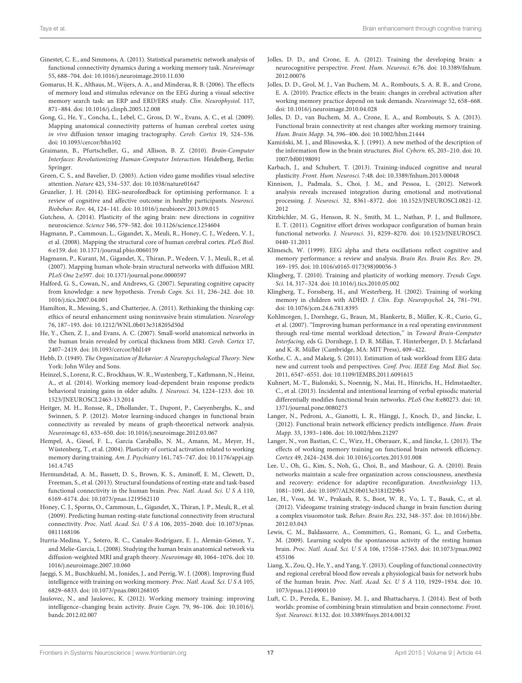- <span id="page-16-36"></span>Ginestet, C. E., and Simmons, A. (2011). Statistical parametric network analysis of functional connectivity dynamics during a working memory task. Neuroimage 55, 688–704. doi: 10.1016/j.neuroimage.2010.11.030
- <span id="page-16-21"></span>Gomarus, H. K., Althaus, M., Wijers, A. A., and Minderaa, R. B. (2006). The effects of memory load and stimulus relevance on the EEG during a visual selective memory search task: an ERP and ERD/ERS study. Clin. Neurophysiol. 117, 871–884. doi: 10.1016/j.clinph.2005.12.008
- <span id="page-16-33"></span>Gong, G., He, Y., Concha, L., Lebel, C., Gross, D. W., Evans, A. C., et al. (2009). Mapping anatomical connectivity patterns of human cerebral cortex using in vivo diffusion tensor imaging tractography. Cereb. Cortex 19, 524–536. doi: 10.1093/cercor/bhn102
- <span id="page-16-18"></span>Graimann, B., Pfurtscheller, G., and Allison, B. Z. (2010). Brain-Computer Interfaces: Revolutionizing Human-Computer Interaction. Heidelberg, Berlin: Springer.
- <span id="page-16-8"></span>Green, C. S., and Bavelier, D. (2003). Action video game modifies visual selective attention. Nature 423, 534–537. doi: 10.1038/nature01647
- <span id="page-16-19"></span>Gruzelier, J. H. (2014). EEG-neurofeedback for optimising performance. I: a review of cognitive and affective outcome in healthy participants. Neurosci. Biobehav. Rev. 44, 124–141. doi: 10.1016/j.neubiorev.2013.09.015
- <span id="page-16-0"></span>Gutchess, A. (2014). Plasticity of the aging brain: new directions in cognitive neuroscience. Science 346, 579–582. doi: 10.1126/science.1254604
- <span id="page-16-31"></span>Hagmann, P., Cammoun, L., Gigandet, X., Meuli, R., Honey, C. J., Wedeen, V. J., et al. (2008). Mapping the structural core of human cerebral cortex. PLoS Biol. 6:e159. doi: 10.1371/journal.pbio.0060159
- <span id="page-16-26"></span>Hagmann, P., Kurant, M., Gigandet, X., Thiran, P., Wedeen, V. J., Meuli, R., et al. (2007). Mapping human whole-brain structural networks with diffusion MRI. PLoS One 2:e597. doi: 10.1371/journal.pone.0000597
- <span id="page-16-12"></span>Halford, G. S., Cowan, N., and Andrews, G. (2007). Separating cognitive capacity from knowledge: a new hypothesis. Trends Cogn. Sci. 11, 236–242. doi: 10. 1016/j.tics.2007.04.001
- <span id="page-16-2"></span>Hamilton, R., Messing, S., and Chatterjee, A. (2011). Rethinking the thinking cap: ethics of neural enhancement using noninvasive brain stimulation. Neurology 76, 187–193. doi: 10.1212/WNL.0b013e318205d50d
- <span id="page-16-27"></span>He, Y., Chen, Z. J., and Evans, A. C. (2007). Small-world anatomical networks in the human brain revealed by cortical thickness from MRI. Cereb. Cortex 17, 2407–2419. doi: 10.1093/cercor/bhl149
- <span id="page-16-9"></span>Hebb, D. (1949). The Organization of Behavior: A Neuropsychological Theory. New York: John Wiley and Sons.
- <span id="page-16-17"></span>Heinzel, S., Lorenz, R. C., Brockhaus, W. R., Wustenberg, T., Kathmann, N., Heinz, A., et al. (2014). Working memory load-dependent brain response predicts behavioral training gains in older adults. J. Neurosci. 34, 1224–1233. doi: 10. 1523/JNEUROSCI.2463-13.2014
- <span id="page-16-40"></span>Heitger, M. H., Ronsse, R., Dhollander, T., Dupont, P., Caeyenberghs, K., and Swinnen, S. P. (2012). Motor learning-induced changes in functional brain connectivity as revealed by means of graph-theoretical network analysis. Neuroimage 61, 633–650. doi: 10.1016/j.neuroimage.2012.03.067
- <span id="page-16-13"></span>Hempel, A., Giesel, F. L., Garcia Caraballo, N. M., Amann, M., Meyer, H., Wüstenberg, T., et al. (2004). Plasticity of cortical activation related to working memory during training. Am. J. Psychiatry 161, 745–747. doi: 10.1176/appi.ajp. 161.4.745
- <span id="page-16-24"></span>Hermundstad, A. M., Bassett, D. S., Brown, K. S., Aminoff, E. M., Clewett, D., Freeman, S., et al. (2013). Structural foundations of resting-state and task-based functional connectivity in the human brain. Proc. Natl. Acad. Sci. U S A 110, 6169–6174. doi: 10.1073/pnas.1219562110
- <span id="page-16-23"></span>Honey, C. J., Sporns, O., Cammoun, L., Gigandet, X., Thiran, J. P., Meuli, R., et al. (2009). Predicting human resting-state functional connectivity from structural connectivity. Proc. Natl. Acad. Sci. U S A 106, 2035–2040. doi: 10.1073/pnas. 0811168106
- <span id="page-16-32"></span>Iturria-Medina, Y., Sotero, R. C., Canales-Rodríguez, E. J., Alemán-Gómez, Y., and Melie-García, L. (2008). Studying the human brain anatomical network via diffusion-weighted MRI and graph theory. Neuroimage 40, 1064–1076. doi: 10. 1016/j.neuroimage.2007.10.060
- <span id="page-16-10"></span>Jaeggi, S. M., Buschkuehl, M., Jonides, J., and Perrig, W. J. (2008). Improving fluid intelligence with training on working memory. Proc. Natl. Acad. Sci. U S A 105, 6829–6833. doi: 10.1073/pnas.0801268105
- <span id="page-16-16"></span>Jaušovec, N., and Jaušovec, K. (2012). Working memory training: improving intelligence–changing brain activity. Brain Cogn. 79, 96–106. doi: 10.1016/j. bandc.2012.02.007
- <span id="page-16-7"></span>Jolles, D. D., and Crone, E. A. (2012). Training the developing brain: a neurocognitive perspective. Front. Hum. Neurosci. 6:76. doi: 10.3389/fnhum. 2012.00076
- <span id="page-16-14"></span>Jolles, D. D., Grol, M. J., Van Buchem, M. A., Rombouts, S. A. R. B., and Crone, E. A. (2010). Practice effects in the brain: changes in cerebral activation after working memory practice depend on task demands. Neuroimage 52, 658–668. doi: 10.1016/j.neuroimage.2010.04.028
- <span id="page-16-39"></span>Jolles, D. D., van Buchem, M. A., Crone, E. A., and Rombouts, S. A. (2013). Functional brain connectivity at rest changes after working memory training. Hum. Brain Mapp. 34, 396–406. doi: 10.1002/hbm.21444
- <span id="page-16-25"></span>Kamiński, M. J., and Blinowska, K. J. (1991). A new method of the description of the information flow in the brain structures. Biol. Cybern. 65, 203–210. doi: 10. 1007/bf00198091
- <span id="page-16-6"></span>Karbach, J., and Schubert, T. (2013). Training-induced cognitive and neural plasticity. Front. Hum. Neurosci. 7:48. doi: 10.3389/fnhum.2013.00048
- <span id="page-16-28"></span>Kinnison, J., Padmala, S., Choi, J. M., and Pessoa, L. (2012). Network analysis reveals increased integration during emotional and motivational processing. J. Neurosci. 32, 8361–8372. doi: 10.1523/JNEUROSCI.0821-12. 2012
- <span id="page-16-35"></span>Kitzbichler, M. G., Henson, R. N., Smith, M. L., Nathan, P. J., and Bullmore, E. T. (2011). Cognitive effort drives workspace configuration of human brain functional networks. J. Neurosci. 31, 8259–8270. doi: 10.1523/JNEUROSCI. 0440-11.2011
- <span id="page-16-22"></span>Klimesch, W. (1999). EEG alpha and theta oscillations reflect cognitive and memory performance: a review and analysis. Brain Res. Brain Res. Rev. 29, 169–195. doi: 10.1016/s0165-0173(98)00056-3
- <span id="page-16-1"></span>Klingberg, T. (2010). Training and plasticity of working memory. Trends Cogn. Sci. 14, 317–324. doi: 10.1016/j.tics.2010.05.002
- <span id="page-16-11"></span>Klingberg, T., Forssberg, H., and Westerberg, H. (2002). Training of working memory in children with ADHD. J. Clin. Exp. Neuropsychol. 24, 781–791. doi: 10.1076/jcen.24.6.781.8395
- <span id="page-16-20"></span>Kohlmorgen, J., Dornhege, G., Braun, M., Blankertz, B., Müller, K.-R., Curio, G., et al. (2007). ''Improving human performance in a real operating environment through real-time mental workload detection," in Toward Brain-Computer Interfacing, eds G. Dornhege, J. D. R. Millán, T. Hinterberger, D. J. Mcfarland and K.-R. Müller (Cambridge, MA: MIT Press), 409–422.
- <span id="page-16-4"></span>Kothe, C. A., and Makeig, S. (2011). Estimation of task workload from EEG data: new and current tools and perspectives. Conf. Proc. IEEE Eng. Med. Biol. Soc. 2011, 6547–6551. doi: 10.1109/IEMBS.2011.6091615
- <span id="page-16-37"></span>Kuhnert, M.-T., Bialonski, S., Noennig, N., Mai, H., Hinrichs, H., Helmstaedter, C., et al. (2013). Incidental and intentional learning of verbal episodic material differentially modifies functional brain networks. PLoS One 8:e80273. doi: 10. 1371/journal.pone.0080273
- <span id="page-16-29"></span>Langer, N., Pedroni, A., Gianotti, L. R., Hänggi, J., Knoch, D., and Jäncke, L. (2012). Functional brain network efficiency predicts intelligence. Hum. Brain Mapp. 33, 1393–1406. doi: 10.1002/hbm.21297
- <span id="page-16-5"></span>Langer, N., von Bastian, C. C., Wirz, H., Oberauer, K., and Jäncke, L. (2013). The effects of working memory training on functional brain network efficiency. Cortex 49, 2424–2438. doi: 10.1016/j.cortex.2013.01.008
- <span id="page-16-30"></span>Lee, U., Oh, G., Kim, S., Noh, G., Choi, B., and Mashour, G. A. (2010). Brain networks maintain a scale-free organization across consciousness, anesthesia and recovery: evidence for adaptive reconfiguration. Anesthesiology 113, 1081–1091. doi: 10.1097/ALN.0b013e3181f229b5
- <span id="page-16-15"></span>Lee, H., Voss, M. W., Prakash, R. S., Boot, W. R., Vo, L. T., Basak, C., et al. (2012). Videogame training strategy-induced change in brain function during a complex visuomotor task. Behav. Brain Res. 232, 348–357. doi: 10.1016/j.bbr. 2012.03.043
- <span id="page-16-38"></span>Lewis, C. M., Baldassarre, A., Committeri, G., Romani, G. L., and Corbetta, M. (2009). Learning sculpts the spontaneous activity of the resting human brain. Proc. Natl. Acad. Sci. U S A 106, 17558–17563. doi: 10.1073/pnas.0902 455106
- <span id="page-16-34"></span>Liang, X., Zou, Q., He, Y., and Yang, Y. (2013). Coupling of functional connectivity and regional cerebral blood flow reveals a physiological basis for network hubs of the human brain. Proc. Natl. Acad. Sci. U S A 110, 1929–1934. doi: 10. 1073/pnas.1214900110
- <span id="page-16-3"></span>Luft, C. D., Pereda, E., Banissy, M. J., and Bhattacharya, J. (2014). Best of both worlds: promise of combining brain stimulation and brain connectome. Front. Syst. Neurosci. 8:132. doi: 10.3389/fnsys.2014.00132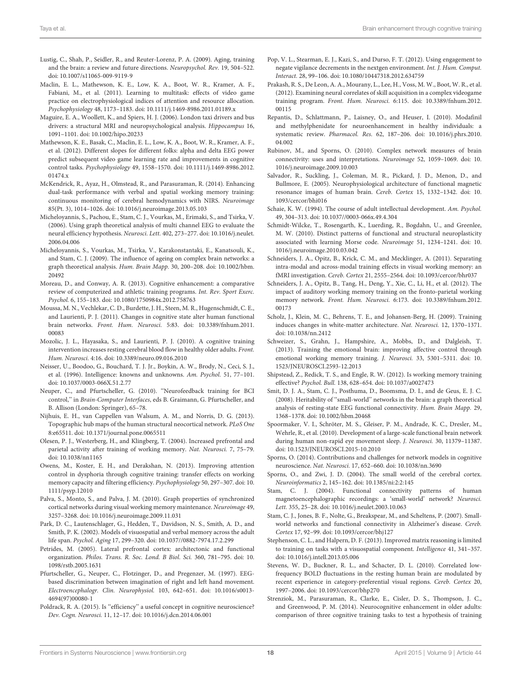- <span id="page-17-5"></span>Lustig, C., Shah, P., Seidler, R., and Reuter-Lorenz, P. A. (2009). Aging, training and the brain: a review and future directions. Neuropsychol. Rev. 19, 504–522. doi: 10.1007/s11065-009-9119-9
- <span id="page-17-12"></span>Maclin, E. L., Mathewson, K. E., Low, K. A., Boot, W. R., Kramer, A. F., Fabiani, M., et al. (2011). Learning to multitask: effects of video game practice on electrophysiological indices of attention and resource allocation. Psychophysiology 48, 1173–1183. doi: 10.1111/j.1469-8986.2011.01189.x
- <span id="page-17-18"></span>Maguire, E. A., Woollett, K., and Spiers, H. J. (2006). London taxi drivers and bus drivers: a structural MRI and neuropsychological analysis. Hippocampus 16, 1091–1101. doi: 10.1002/hipo.20233
- <span id="page-17-16"></span>Mathewson, K. E., Basak, C., Maclin, E. L., Low, K. A., Boot, W. R., Kramer, A. F., et al. (2012). Different slopes for different folks: alpha and delta EEG power predict subsequent video game learning rate and improvements in cognitive control tasks. Psychophysiology 49, 1558–1570. doi: 10.1111/j.1469-8986.2012. 01474.x
- <span id="page-17-20"></span>McKendrick, R., Ayaz, H., Olmstead, R., and Parasuraman, R. (2014). Enhancing dual-task performance with verbal and spatial working memory training: continuous monitoring of cerebral hemodynamics with NIRS. Neuroimage 85(Pt. 3), 1014–1026. doi: 10.1016/j.neuroimage.2013.05.103
- <span id="page-17-27"></span>Micheloyannis, S., Pachou, E., Stam, C. J., Vourkas, M., Erimaki, S., and Tsirka, V. (2006). Using graph theoretical analysis of multi channel EEG to evaluate the neural efficiency hypothesis. Neurosci. Lett. 402, 273–277. doi: 10.1016/j.neulet. 2006.04.006
- <span id="page-17-28"></span>Micheloyannis, S., Vourkas, M., Tsirka, V., Karakonstantaki, E., Kanatsouli, K., and Stam, C. J. (2009). The influence of ageing on complex brain networks: a graph theoretical analysis. Hum. Brain Mapp. 30, 200–208. doi: 10.1002/hbm. 20492
- <span id="page-17-6"></span>Moreau, D., and Conway, A. R. (2013). Cognitive enhancement: a comparative review of computerized and athletic training programs. Int. Rev. Sport Exerc. Psychol. 6, 155–183. doi: 10.1080/1750984x.2012.758763
- <span id="page-17-36"></span>Moussa, M. N., Vechlekar, C. D., Burdette, J. H., Steen, M. R., Hugenschmidt, C. E., and Laurienti, P. J. (2011). Changes in cognitive state alter human functional brain networks. Front. Hum. Neurosci. 5:83. doi: 10.3389/fnhum.2011. 00083
- <span id="page-17-11"></span>Mozolic, J. L., Hayasaka, S., and Laurienti, P. J. (2010). A cognitive training intervention increases resting cerebral blood flow in healthy older adults. Front. Hum. Neurosci. 4:16. doi: 10.3389/neuro.09.016.2010
- <span id="page-17-8"></span>Neisser, U., Boodoo, G., Bouchard, T. J. Jr., Boykin, A. W., Brody, N., Ceci, S. J., et al. (1996). Intelligence: knowns and unknowns. Am. Psychol. 51, 77–101. doi: 10.1037/0003-066X.51.2.77
- <span id="page-17-24"></span>Neuper, C., and Pfurtscheller, G. (2010). ''Neurofeedback training for BCI control,'' in Brain-Computer Interfaces, eds B. Graimann, G. Pfurtscheller, and B. Allison (London: Springer), 65–78.
- <span id="page-17-32"></span>Nijhuis, E. H., van Cappellen van Walsum, A. M., and Norris, D. G. (2013). Topographic hub maps of the human structural neocortical network. PLoS One 8:e65511. doi: 10.1371/journal.pone.0065511
- <span id="page-17-10"></span>Olesen, P. J., Westerberg, H., and Klingberg, T. (2004). Increased prefrontal and parietal activity after training of working memory. Nat. Neurosci. 7, 75–79. doi: 10.1038/nn1165
- <span id="page-17-17"></span>Owens, M., Koster, E. H., and Derakshan, N. (2013). Improving attention control in dysphoria through cognitive training: transfer effects on working memory capacity and filtering efficiency. Psychophysiology 50, 297–307. doi: 10. 1111/psyp.12010
- <span id="page-17-37"></span>Palva, S., Monto, S., and Palva, J. M. (2010). Graph properties of synchronized cortical networks during visual working memory maintenance. Neuroimage 49, 3257–3268. doi: 10.1016/j.neuroimage.2009.11.031
- <span id="page-17-0"></span>Park, D. C., Lautenschlager, G., Hedden, T., Davidson, N. S., Smith, A. D., and Smith, P. K. (2002). Models of visuospatial and verbal memory across the adult life span. Psychol. Aging 17, 299–320. doi: 10.1037//0882-7974.17.2.299
- <span id="page-17-33"></span>Petrides, M. (2005). Lateral prefrontal cortex: architectonic and functional organization. Philos. Trans. R. Soc. Lond. B Biol. Sci. 360, 781–795. doi: 10. 1098/rstb.2005.1631
- <span id="page-17-23"></span>Pfurtscheller, G., Neuper, C., Flotzinger, D., and Pregenzer, M. (1997). EEGbased discrimination between imagination of right and left hand movement. Electroencephalogr. Clin. Neurophysiol. 103, 642–651. doi: 10.1016/s0013- 4694(97)00080-1
- <span id="page-17-35"></span>Poldrack, R. A. (2015). Is "efficiency" a useful concept in cognitive neuroscience? Dev. Cogn. Neurosci. 11, 12–17. doi: 10.1016/j.dcn.2014.06.001
- <span id="page-17-2"></span>Pop, V. L., Stearman, E. J., Kazi, S., and Durso, F. T. (2012). Using engagement to negate vigilance decrements in the nextgen environment. Int. J. Hum. Comput. Interact. 28, 99–106. doi: 10.1080/10447318.2012.634759
- <span id="page-17-21"></span>Prakash, R. S., De Leon, A. A., Mourany, L., Lee, H., Voss, M. W., Boot, W. R., et al. (2012). Examining neural correlates of skill acquisition in a complex videogame training program. Front. Hum. Neurosci. 6:115. doi: 10.3389/fnhum.2012. 00115
- <span id="page-17-3"></span>Repantis, D., Schlattmann, P., Laisney, O., and Heuser, I. (2010). Modafinil and methylphenidate for neuroenhancement in healthy individuals: a systematic review. Pharmacol. Res. 62, 187–206. doi: 10.1016/j.phrs.2010. 04.002
- <span id="page-17-25"></span>Rubinov, M., and Sporns, O. (2010). Complex network measures of brain connectivity: uses and interpretations. Neuroimage 52, 1059–1069. doi: 10. 1016/j.neuroimage.2009.10.003
- <span id="page-17-26"></span>Salvador, R., Suckling, J., Coleman, M. R., Pickard, J. D., Menon, D., and Bullmore, E. (2005). Neurophysiological architecture of functional magnetic resonance images of human brain. Cereb. Cortex 15, 1332–1342. doi: 10. 1093/cercor/bhi016
- <span id="page-17-1"></span>Schaie, K. W. (1994). The course of adult intellectual development. Am. Psychol. 49, 304–313. doi: 10.1037//0003-066x.49.4.304
- <span id="page-17-22"></span>Schmidt-Wilcke, T., Rosengarth, K., Luerding, R., Bogdahn, U., and Greenlee, M. W. (2010). Distinct patterns of functional and structural neuroplasticity associated with learning Morse code. Neuroimage 51, 1234–1241. doi: 10. 1016/j.neuroimage.2010.03.042
- <span id="page-17-14"></span>Schneiders, J. A., Opitz, B., Krick, C. M., and Mecklinger, A. (2011). Separating intra-modal and across-modal training effects in visual working memory: an fMRI investigation. Cereb. Cortex 21, 2555–2564. doi: 10.1093/cercor/bhr037
- <span id="page-17-15"></span>Schneiders, J. A., Opitz, B., Tang, H., Deng, Y., Xie, C., Li, H., et al. (2012). The impact of auditory working memory training on the fronto-parietal working memory network. Front. Hum. Neurosci. 6:173. doi: 10.3389/fnhum.2012. 00173
- <span id="page-17-19"></span>Scholz, J., Klein, M. C., Behrens, T. E., and Johansen-Berg, H. (2009). Training induces changes in white-matter architecture. Nat. Neurosci. 12, 1370–1371. doi: 10.1038/nn.2412
- <span id="page-17-13"></span>Schweizer, S., Grahn, J., Hampshire, A., Mobbs, D., and Dalgleish, T. (2013). Training the emotional brain: improving affective control through emotional working memory training. J. Neurosci. 33, 5301–5311. doi: 10. 1523/JNEUROSCI.2593-12.2013
- <span id="page-17-7"></span>Shipstead, Z., Redick, T. S., and Engle, R. W. (2012). Is working memory training effective? Psychol. Bull. 138, 628–654. doi: 10.1037/a0027473
- <span id="page-17-30"></span>Smit, D. J. A., Stam, C. J., Posthuma, D., Boomsma, D. I., and de Geus, E. J. C. (2008). Heritability of ''small-world'' networks in the brain: a graph theoretical analysis of resting-state EEG functional connectivity. Hum. Brain Mapp. 29, 1368–1378. doi: 10.1002/hbm.20468
- <span id="page-17-38"></span>Spoormaker, V. I., Schröter, M. S., Gleiser, P. M., Andrade, K. C., Dresler, M., Wehrle, R., et al. (2010). Development of a large-scale functional brain network during human non-rapid eye movement sleep. J. Neurosci. 30, 11379–11387. doi: 10.1523/JNEUROSCI.2015-10.2010
- <span id="page-17-4"></span>Sporns, O. (2014). Contributions and challenges for network models in cognitive neuroscience. Nat. Neurosci. 17, 652–660. doi: 10.1038/nn.3690
- <span id="page-17-34"></span>Sporns, O., and Zwi, J. D. (2004). The small world of the cerebral cortex. Neuroinformatics 2, 145–162. doi: 10.1385/ni:2:2:145
- <span id="page-17-31"></span>Stam, C. J. (2004). Functional connectivity patterns of human magnetoencephalographic recordings: a 'small-world' network? Neurosci. Lett. 355, 25–28. doi: 10.1016/j.neulet.2003.10.063
- <span id="page-17-29"></span>Stam, C. J., Jones, B. F., Nolte, G., Breakspear, M., and Scheltens, P. (2007). Smallworld networks and functional connectivity in Alzheimer's disease. Cereb. Cortex 17, 92–99. doi: 10.1093/cercor/bhj127
- <span id="page-17-9"></span>Stephenson, C. L., and Halpern, D. F. (2013). Improved matrix reasoning is limited to training on tasks with a visuospatial component. Intelligence 41, 341–357. doi: 10.1016/j.intell.2013.05.006
- <span id="page-17-39"></span>Stevens, W. D., Buckner, R. L., and Schacter, D. L. (2010). Correlated lowfrequency BOLD fluctuations in the resting human brain are modulated by recent experience in category-preferential visual regions. Cereb. Cortex 20, 1997–2006. doi: 10.1093/cercor/bhp270
- <span id="page-17-40"></span>Strenziok, M., Parasuraman, R., Clarke, E., Cisler, D. S., Thompson, J. C., and Greenwood, P. M. (2014). Neurocognitive enhancement in older adults: comparison of three cognitive training tasks to test a hypothesis of training